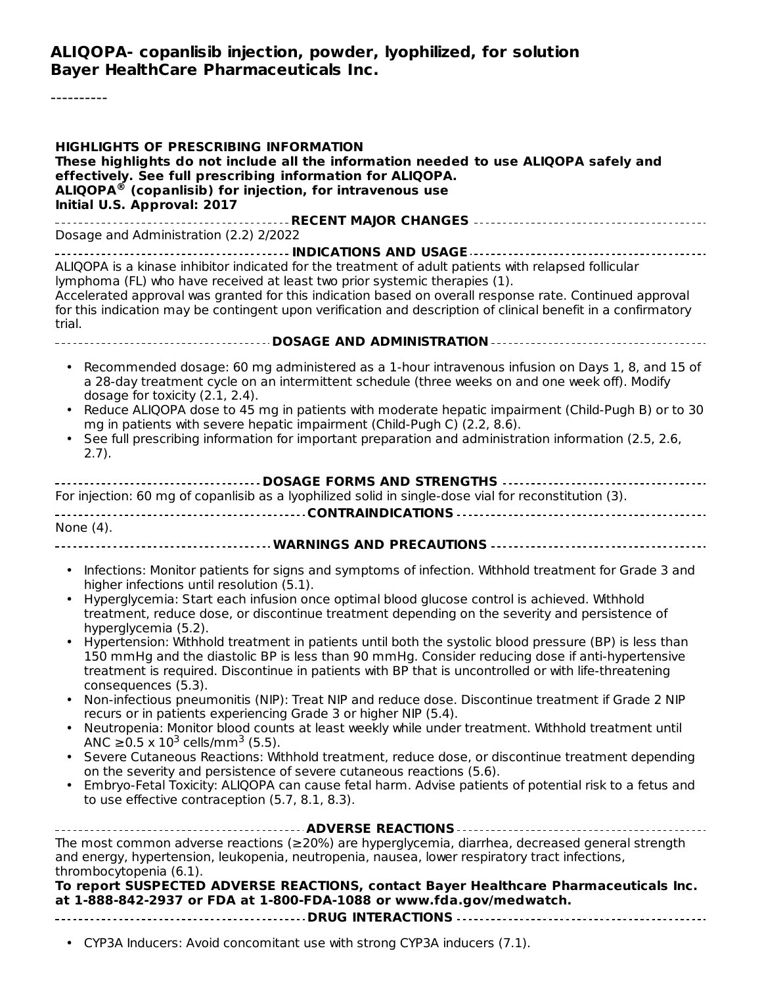#### **ALIQOPA- copanlisib injection, powder, lyophilized, for solution Bayer HealthCare Pharmaceuticals Inc.**

----------

| <b>HIGHLIGHTS OF PRESCRIBING INFORMATION</b><br>These highlights do not include all the information needed to use ALIQOPA safely and<br>effectively. See full prescribing information for ALIQOPA.<br>$ALIQOPA®$ (copanlisib) for injection, for intravenous use<br>Initial U.S. Approval: 2017                                                                                                                                                                                                                                                                                                                                                                                                                                                                                                                                                                                                                                                                                                                                                                                                                                                                                                                                                                                                                                                                                                                |
|----------------------------------------------------------------------------------------------------------------------------------------------------------------------------------------------------------------------------------------------------------------------------------------------------------------------------------------------------------------------------------------------------------------------------------------------------------------------------------------------------------------------------------------------------------------------------------------------------------------------------------------------------------------------------------------------------------------------------------------------------------------------------------------------------------------------------------------------------------------------------------------------------------------------------------------------------------------------------------------------------------------------------------------------------------------------------------------------------------------------------------------------------------------------------------------------------------------------------------------------------------------------------------------------------------------------------------------------------------------------------------------------------------------|
| Dosage and Administration (2.2) 2/2022                                                                                                                                                                                                                                                                                                                                                                                                                                                                                                                                                                                                                                                                                                                                                                                                                                                                                                                                                                                                                                                                                                                                                                                                                                                                                                                                                                         |
| ALIQOPA is a kinase inhibitor indicated for the treatment of adult patients with relapsed follicular<br>lymphoma (FL) who have received at least two prior systemic therapies (1).<br>Accelerated approval was granted for this indication based on overall response rate. Continued approval<br>for this indication may be contingent upon verification and description of clinical benefit in a confirmatory<br>trial.                                                                                                                                                                                                                                                                                                                                                                                                                                                                                                                                                                                                                                                                                                                                                                                                                                                                                                                                                                                       |
|                                                                                                                                                                                                                                                                                                                                                                                                                                                                                                                                                                                                                                                                                                                                                                                                                                                                                                                                                                                                                                                                                                                                                                                                                                                                                                                                                                                                                |
| Recommended dosage: 60 mg administered as a 1-hour intravenous infusion on Days 1, 8, and 15 of<br>$\bullet$<br>a 28-day treatment cycle on an intermittent schedule (three weeks on and one week off). Modify<br>dosage for toxicity (2.1, 2.4).<br>Reduce ALIQOPA dose to 45 mg in patients with moderate hepatic impairment (Child-Pugh B) or to 30<br>mg in patients with severe hepatic impairment (Child-Pugh C) (2.2, 8.6).<br>See full prescribing information for important preparation and administration information (2.5, 2.6,<br>$2.7$ ).<br>----------------------------------- DOSAGE FORMS AND STRENGTHS ----------------------------------                                                                                                                                                                                                                                                                                                                                                                                                                                                                                                                                                                                                                                                                                                                                                    |
| For injection: 60 mg of copanlisib as a lyophilized solid in single-dose vial for reconstitution (3).                                                                                                                                                                                                                                                                                                                                                                                                                                                                                                                                                                                                                                                                                                                                                                                                                                                                                                                                                                                                                                                                                                                                                                                                                                                                                                          |
|                                                                                                                                                                                                                                                                                                                                                                                                                                                                                                                                                                                                                                                                                                                                                                                                                                                                                                                                                                                                                                                                                                                                                                                                                                                                                                                                                                                                                |
| None (4).                                                                                                                                                                                                                                                                                                                                                                                                                                                                                                                                                                                                                                                                                                                                                                                                                                                                                                                                                                                                                                                                                                                                                                                                                                                                                                                                                                                                      |
| Infections: Monitor patients for signs and symptoms of infection. Withhold treatment for Grade 3 and<br>٠<br>higher infections until resolution (5.1).<br>Hyperglycemia: Start each infusion once optimal blood glucose control is achieved. Withhold<br>treatment, reduce dose, or discontinue treatment depending on the severity and persistence of<br>hyperglycemia (5.2).<br>Hypertension: Withhold treatment in patients until both the systolic blood pressure (BP) is less than<br>150 mmHg and the diastolic BP is less than 90 mmHg. Consider reducing dose if anti-hypertensive<br>treatment is required. Discontinue in patients with BP that is uncontrolled or with life-threatening<br>consequences (5.3).<br>Non-infectious pneumonitis (NIP): Treat NIP and reduce dose. Discontinue treatment if Grade 2 NIP<br>recurs or in patients experiencing Grade 3 or higher NIP (5.4).<br>Neutropenia: Monitor blood counts at least weekly while under treatment. Withhold treatment until<br>ANC $\geq$ 0.5 x 10 <sup>3</sup> cells/mm <sup>3</sup> (5.5).<br>Severe Cutaneous Reactions: Withhold treatment, reduce dose, or discontinue treatment depending<br>on the severity and persistence of severe cutaneous reactions (5.6).<br>Embryo-Fetal Toxicity: ALIQOPA can cause fetal harm. Advise patients of potential risk to a fetus and<br>to use effective contraception (5.7, 8.1, 8.3). |
| The most common adverse reactions (≥20%) are hyperglycemia, diarrhea, decreased general strength<br>and energy, hypertension, leukopenia, neutropenia, nausea, lower respiratory tract infections,<br>thrombocytopenia (6.1).<br>To report SUSPECTED ADVERSE REACTIONS, contact Bayer Healthcare Pharmaceuticals Inc.<br>at 1-888-842-2937 or FDA at 1-800-FDA-1088 or www.fda.gov/medwatch.<br>• CYP3A Inducers: Avoid concomitant use with strong CYP3A inducers (7.1).                                                                                                                                                                                                                                                                                                                                                                                                                                                                                                                                                                                                                                                                                                                                                                                                                                                                                                                                      |
|                                                                                                                                                                                                                                                                                                                                                                                                                                                                                                                                                                                                                                                                                                                                                                                                                                                                                                                                                                                                                                                                                                                                                                                                                                                                                                                                                                                                                |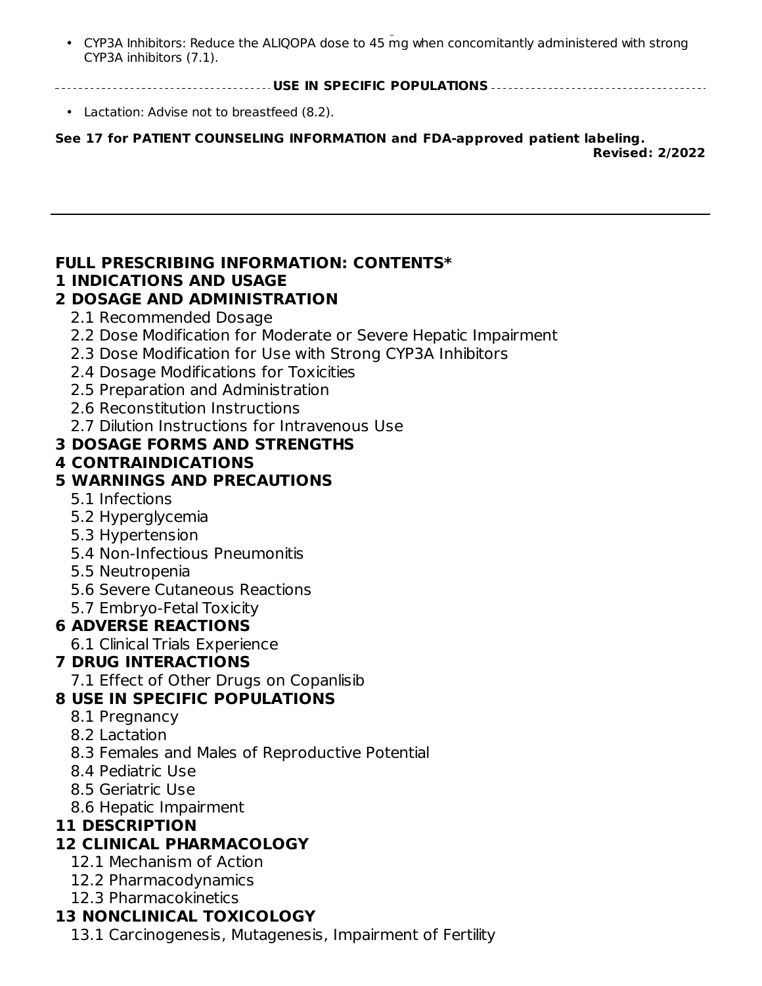•  $C_{\rm 2A}$  inducers: Avoid concomitant use with strong  $C_{\rm 2A}$  inducers (7.1). CYP3A Inhibitors: Reduce the ALIQOPA dose to 45 mg when concomitantly administered with strong CYP3A inhibitors (7.1).

**USE IN SPECIFIC POPULATIONS**

• Lactation: Advise not to breastfeed (8.2).

**See 17 for PATIENT COUNSELING INFORMATION and FDA-approved patient labeling. Revised: 2/2022**

## **FULL PRESCRIBING INFORMATION: CONTENTS\***

### **1 INDICATIONS AND USAGE**

### **2 DOSAGE AND ADMINISTRATION**

- 2.1 Recommended Dosage
- 2.2 Dose Modification for Moderate or Severe Hepatic Impairment
- 2.3 Dose Modification for Use with Strong CYP3A Inhibitors
- 2.4 Dosage Modifications for Toxicities
- 2.5 Preparation and Administration
- 2.6 Reconstitution Instructions
- 2.7 Dilution Instructions for Intravenous Use

## **3 DOSAGE FORMS AND STRENGTHS**

### **4 CONTRAINDICATIONS**

### **5 WARNINGS AND PRECAUTIONS**

- 5.1 Infections
- 5.2 Hyperglycemia
- 5.3 Hypertension
- 5.4 Non-Infectious Pneumonitis
- 5.5 Neutropenia
- 5.6 Severe Cutaneous Reactions
- 5.7 Embryo-Fetal Toxicity

## **6 ADVERSE REACTIONS**

6.1 Clinical Trials Experience

## **7 DRUG INTERACTIONS**

7.1 Effect of Other Drugs on Copanlisib

## **8 USE IN SPECIFIC POPULATIONS**

- 8.1 Pregnancy
- 8.2 Lactation
- 8.3 Females and Males of Reproductive Potential
- 8.4 Pediatric Use
- 8.5 Geriatric Use
- 8.6 Hepatic Impairment

## **11 DESCRIPTION**

## **12 CLINICAL PHARMACOLOGY**

- 12.1 Mechanism of Action
- 12.2 Pharmacodynamics
- 12.3 Pharmacokinetics

## **13 NONCLINICAL TOXICOLOGY**

13.1 Carcinogenesis, Mutagenesis, Impairment of Fertility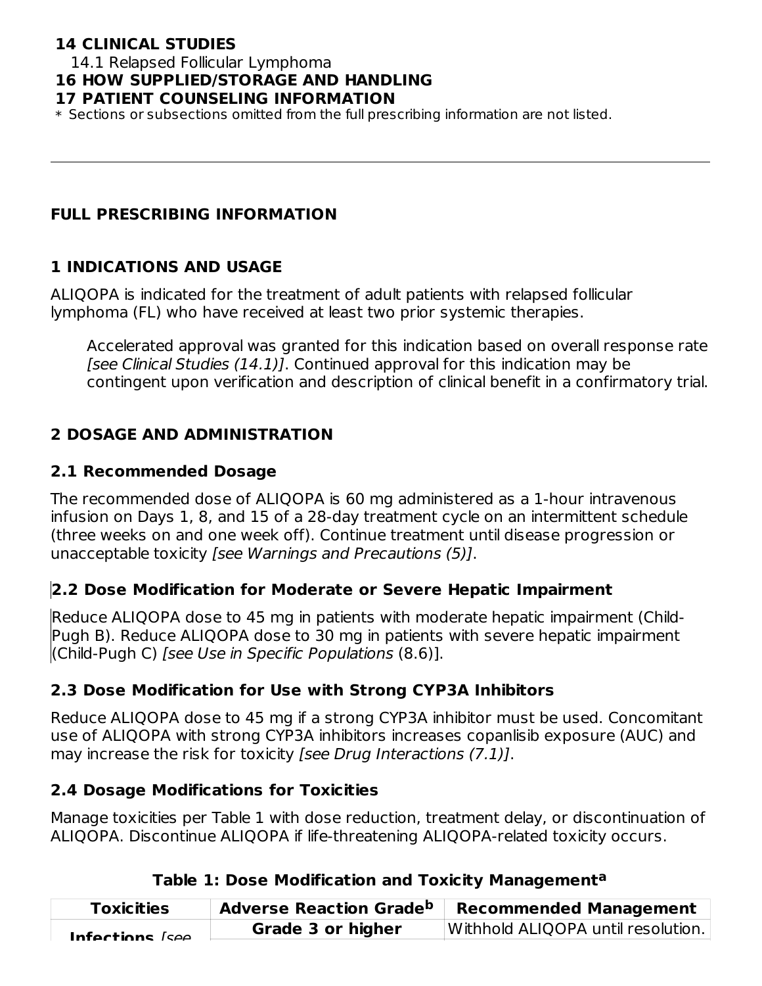## **14 CLINICAL STUDIES**

14.1 Relapsed Follicular Lymphoma

#### **16 HOW SUPPLIED/STORAGE AND HANDLING**

#### **17 PATIENT COUNSELING INFORMATION**

\* Sections or subsections omitted from the full prescribing information are not listed.

### **FULL PRESCRIBING INFORMATION**

### **1 INDICATIONS AND USAGE**

ALIQOPA is indicated for the treatment of adult patients with relapsed follicular lymphoma (FL) who have received at least two prior systemic therapies.

Accelerated approval was granted for this indication based on overall response rate [see Clinical Studies (14.1)]. Continued approval for this indication may be contingent upon verification and description of clinical benefit in a confirmatory trial.

### **2 DOSAGE AND ADMINISTRATION**

### **2.1 Recommended Dosage**

The recommended dose of ALIQOPA is 60 mg administered as a 1-hour intravenous infusion on Days 1, 8, and 15 of a 28-day treatment cycle on an intermittent schedule (three weeks on and one week off). Continue treatment until disease progression or unacceptable toxicity [see Warnings and Precautions (5)].

### **2.2 Dose Modification for Moderate or Severe Hepatic Impairment**

Reduce ALIQOPA dose to 45 mg in patients with moderate hepatic impairment (Child-Pugh B). Reduce ALIQOPA dose to 30 mg in patients with severe hepatic impairment (Child-Pugh C) [see Use in Specific Populations (8.6)].

### **2.3 Dose Modification for Use with Strong CYP3A Inhibitors**

Reduce ALIQOPA dose to 45 mg if a strong CYP3A inhibitor must be used. Concomitant use of ALIQOPA with strong CYP3A inhibitors increases copanlisib exposure (AUC) and may increase the risk for toxicity *[see Drug Interactions (7.1)]*.

### **2.4 Dosage Modifications for Toxicities**

Manage toxicities per Table 1 with dose reduction, treatment delay, or discontinuation of ALIQOPA. Discontinue ALIQOPA if life-threatening ALIQOPA-related toxicity occurs.

| <b>Toxicities</b> | <b>Adverse Reaction Grade<sup>b</sup></b> | <b>Recommended Management</b>      |
|-------------------|-------------------------------------------|------------------------------------|
| Infactione [caa   | Grade 3 or higher                         | Withhold ALIQOPA until resolution. |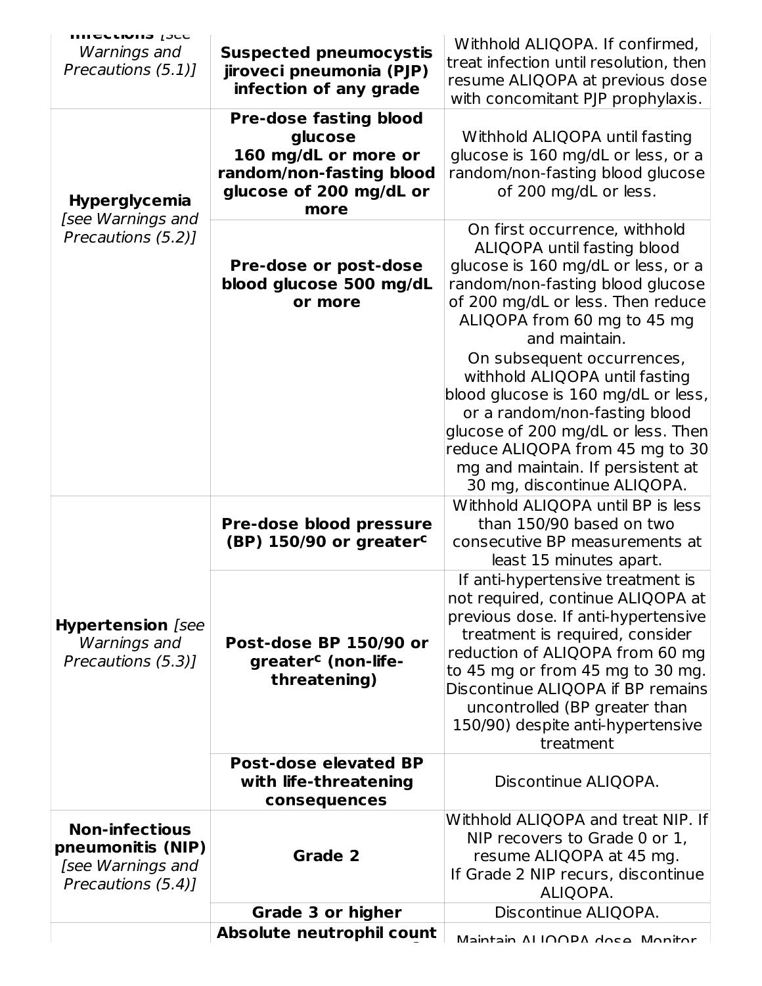| <b>UNLESTAND ISLE</b>    |                                                                | Withhold ALIQOPA. If confirmed,        |
|--------------------------|----------------------------------------------------------------|----------------------------------------|
| Warnings and             | <b>Suspected pneumocystis</b>                                  |                                        |
| Precautions (5.1)]       | jiroveci pneumonia (PJP)                                       | treat infection until resolution, then |
|                          | infection of any grade                                         | resume ALIQOPA at previous dose        |
|                          |                                                                | with concomitant PJP prophylaxis.      |
|                          | <b>Pre-dose fasting blood</b>                                  |                                        |
|                          | glucose                                                        | Withhold ALIQOPA until fasting         |
|                          | 160 mg/dL or more or                                           | glucose is 160 mg/dL or less, or a     |
|                          | random/non-fasting blood                                       | random/non-fasting blood glucose       |
|                          | glucose of 200 mg/dL or                                        | of 200 mg/dL or less.                  |
| <b>Hyperglycemia</b>     | more                                                           |                                        |
| [see Warnings and        |                                                                | On first occurrence, withhold          |
| Precautions (5.2)]       |                                                                | ALIQOPA until fasting blood            |
|                          |                                                                |                                        |
|                          | Pre-dose or post-dose                                          | glucose is 160 mg/dL or less, or a     |
|                          | blood glucose 500 mg/dL                                        | random/non-fasting blood glucose       |
|                          | or more                                                        | of 200 mg/dL or less. Then reduce      |
|                          |                                                                | ALIQOPA from 60 mg to 45 mg            |
|                          |                                                                | and maintain.                          |
|                          |                                                                | On subsequent occurrences,             |
|                          |                                                                | withhold ALIQOPA until fasting         |
|                          |                                                                | blood glucose is 160 mg/dL or less,    |
|                          |                                                                | or a random/non-fasting blood          |
|                          |                                                                | glucose of 200 mg/dL or less. Then     |
|                          |                                                                | reduce ALIQOPA from 45 mg to 30        |
|                          |                                                                | mg and maintain. If persistent at      |
|                          |                                                                | 30 mg, discontinue ALIQOPA.            |
|                          |                                                                | Withhold ALIQOPA until BP is less      |
|                          | Pre-dose blood pressure<br>(BP) 150/90 or greater <sup>c</sup> | than 150/90 based on two               |
|                          |                                                                | consecutive BP measurements at         |
|                          |                                                                | least 15 minutes apart.                |
|                          |                                                                | If anti-hypertensive treatment is      |
|                          |                                                                |                                        |
|                          |                                                                | not required, continue ALIQOPA at      |
| <b>Hypertension</b> [see |                                                                | previous dose. If anti-hypertensive    |
| Warnings and             | Post-dose BP 150/90 or                                         | treatment is required, consider        |
| Precautions (5.3)]       | greater <sup>c</sup> (non-life-                                | reduction of ALIQOPA from 60 mg        |
|                          | threatening)                                                   | to 45 mg or from 45 mg to 30 mg.       |
|                          |                                                                | Discontinue ALIQOPA if BP remains      |
|                          |                                                                | uncontrolled (BP greater than          |
|                          |                                                                | 150/90) despite anti-hypertensive      |
|                          |                                                                | treatment                              |
|                          | <b>Post-dose elevated BP</b>                                   |                                        |
|                          | with life-threatening                                          | Discontinue ALIQOPA.                   |
|                          | consequences                                                   |                                        |
| <b>Non-infectious</b>    |                                                                | Withhold ALIQOPA and treat NIP. If     |
| pneumonitis (NIP)        |                                                                | NIP recovers to Grade 0 or 1,          |
|                          | Grade 2                                                        | resume ALIQOPA at 45 mg.               |
| [see Warnings and        |                                                                | If Grade 2 NIP recurs, discontinue     |
| Precautions (5.4)]       |                                                                | ALIQOPA.                               |
|                          | <b>Grade 3 or higher</b>                                       | Discontinue ALIQOPA.                   |
|                          | Absolute neutrophil count                                      |                                        |
|                          |                                                                | Maintain ALIOODA doce Monitor          |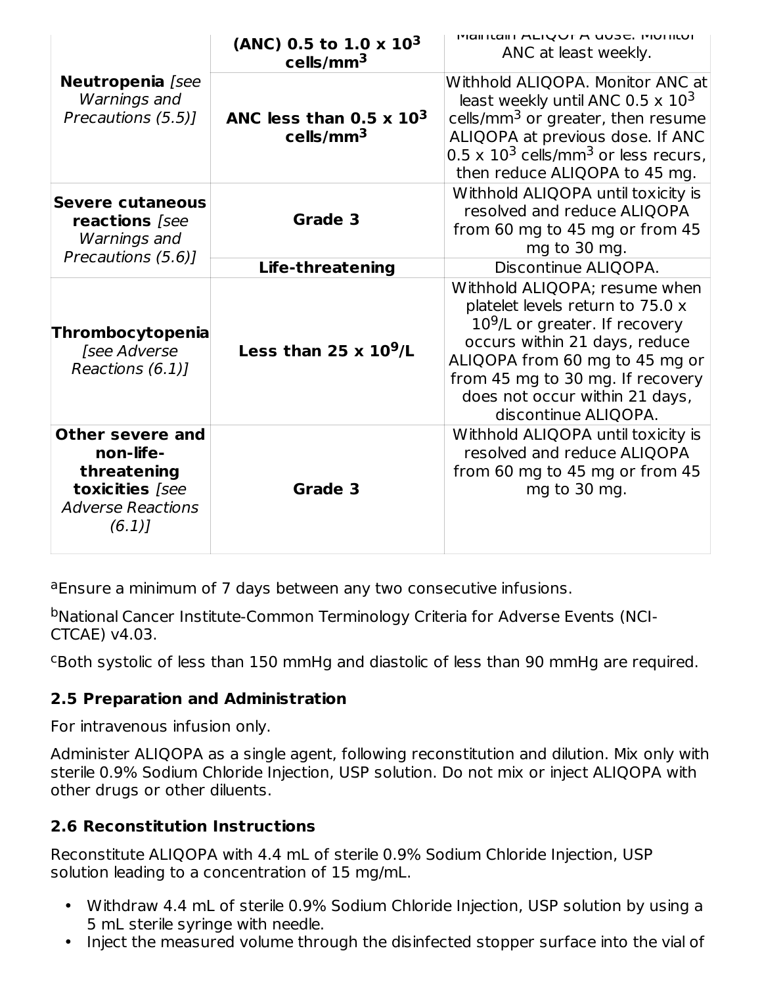|                                                                                                             | (ANC) 0.5 to 1.0 x $10^3$<br>cells/mm <sup>3</sup>                  | <b>IVIGIFICALL ALIQUEA UUSE. IVIUITILUI</b><br>ANC at least weekly.                                                                                                                                                                                                      |
|-------------------------------------------------------------------------------------------------------------|---------------------------------------------------------------------|--------------------------------------------------------------------------------------------------------------------------------------------------------------------------------------------------------------------------------------------------------------------------|
| Neutropenia [see<br>Warnings and<br>Precautions (5.5)]                                                      | ANC less than 0.5 $\times$ 10 <sup>3</sup><br>$\mathsf{cells/mm^3}$ | Withhold ALIQOPA. Monitor ANC at<br>least weekly until ANC 0.5 $\times$ 10 <sup>3</sup><br>cells/mm <sup>3</sup> or greater, then resume<br>ALIQOPA at previous dose. If ANC<br>$0.5 \times 10^3$ cells/mm <sup>3</sup> or less recurs,<br>then reduce ALIQOPA to 45 mg. |
| Severe cutaneous<br>reactions [see<br>Warnings and<br>Precautions (5.6)]                                    | Grade 3                                                             | Withhold ALIQOPA until toxicity is<br>resolved and reduce ALIQOPA<br>from 60 mg to 45 mg or from 45<br>mg to 30 mg.                                                                                                                                                      |
|                                                                                                             | <b>Life-threatening</b>                                             | Discontinue ALIQOPA.                                                                                                                                                                                                                                                     |
| Thrombocytopenia<br>[see Adverse<br>Reactions (6.1)]                                                        | Less than 25 x $10^9$ /L                                            | Withhold ALIQOPA; resume when<br>platelet levels return to 75.0 x<br>$109/L$ or greater. If recovery<br>occurs within 21 days, reduce<br>ALIQOPA from 60 mg to 45 mg or<br>from 45 mg to 30 mg. If recovery<br>does not occur within 21 days,<br>discontinue ALIQOPA.    |
| <b>Other severe and</b><br>non-life-<br>threatening<br>toxicities [see<br><b>Adverse Reactions</b><br>(6.1) | Grade 3                                                             | Withhold ALIQOPA until toxicity is<br>resolved and reduce ALIQOPA<br>from 60 mg to 45 mg or from 45<br>mg to 30 mg.                                                                                                                                                      |

<sup>a</sup>Ensure a minimum of 7 days between any two consecutive infusions.

bNational Cancer Institute-Common Terminology Criteria for Adverse Events (NCI-CTCAE) v4.03.

CBoth systolic of less than 150 mmHg and diastolic of less than 90 mmHg are required.

## **2.5 Preparation and Administration**

For intravenous infusion only.

Administer ALIQOPA as a single agent, following reconstitution and dilution. Mix only with sterile 0.9% Sodium Chloride Injection, USP solution. Do not mix or inject ALIQOPA with other drugs or other diluents.

## **2.6 Reconstitution Instructions**

Reconstitute ALIQOPA with 4.4 mL of sterile 0.9% Sodium Chloride Injection, USP solution leading to a concentration of 15 mg/mL.

- Withdraw 4.4 mL of sterile 0.9% Sodium Chloride Injection, USP solution by using a 5 mL sterile syringe with needle.
- Inject the measured volume through the disinfected stopper surface into the vial of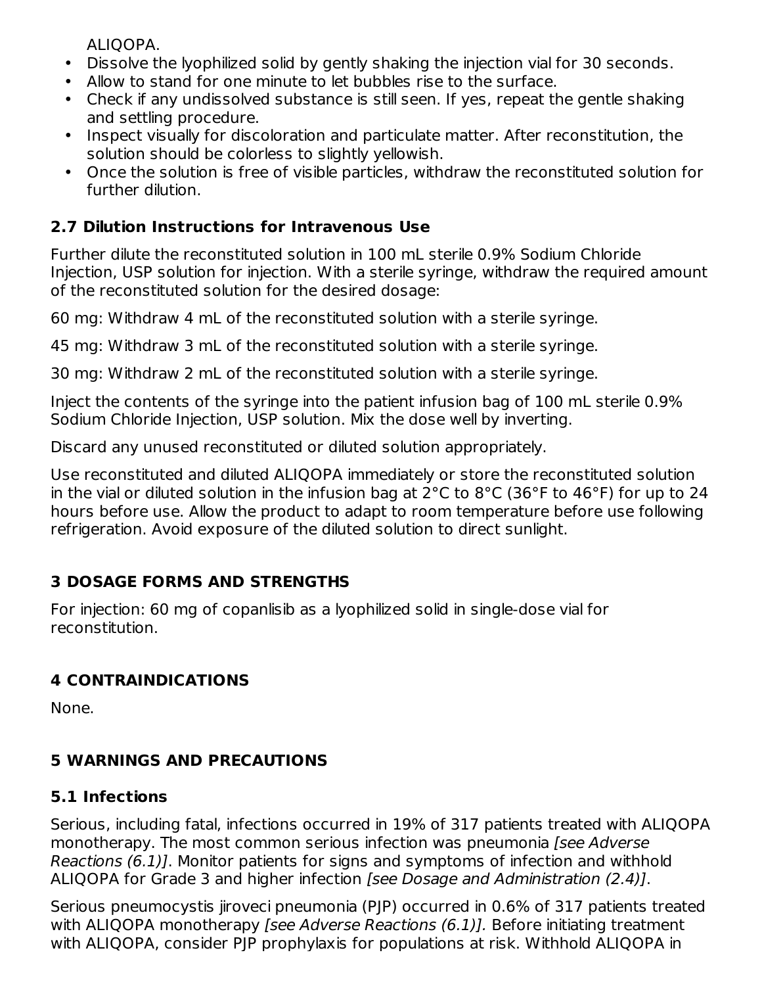ALIQOPA.

- Dissolve the lyophilized solid by gently shaking the injection vial for 30 seconds.
- Allow to stand for one minute to let bubbles rise to the surface.
- Check if any undissolved substance is still seen. If yes, repeat the gentle shaking and settling procedure.
- Inspect visually for discoloration and particulate matter. After reconstitution, the solution should be colorless to slightly yellowish.
- Once the solution is free of visible particles, withdraw the reconstituted solution for further dilution.

## **2.7 Dilution Instructions for Intravenous Use**

Further dilute the reconstituted solution in 100 mL sterile 0.9% Sodium Chloride Injection, USP solution for injection. With a sterile syringe, withdraw the required amount of the reconstituted solution for the desired dosage:

60 mg: Withdraw 4 mL of the reconstituted solution with a sterile syringe.

45 mg: Withdraw 3 mL of the reconstituted solution with a sterile syringe.

30 mg: Withdraw 2 mL of the reconstituted solution with a sterile syringe.

Inject the contents of the syringe into the patient infusion bag of 100 mL sterile 0.9% Sodium Chloride Injection, USP solution. Mix the dose well by inverting.

Discard any unused reconstituted or diluted solution appropriately.

Use reconstituted and diluted ALIQOPA immediately or store the reconstituted solution in the vial or diluted solution in the infusion bag at 2°C to 8°C (36°F to 46°F) for up to 24 hours before use. Allow the product to adapt to room temperature before use following refrigeration. Avoid exposure of the diluted solution to direct sunlight.

## **3 DOSAGE FORMS AND STRENGTHS**

For injection: 60 mg of copanlisib as a lyophilized solid in single-dose vial for reconstitution.

## **4 CONTRAINDICATIONS**

None.

## **5 WARNINGS AND PRECAUTIONS**

## **5.1 Infections**

Serious, including fatal, infections occurred in 19% of 317 patients treated with ALIQOPA monotherapy. The most common serious infection was pneumonia [see Adverse] Reactions (6.1)]. Monitor patients for signs and symptoms of infection and withhold ALIQOPA for Grade 3 and higher infection [see Dosage and Administration (2.4)].

Serious pneumocystis jiroveci pneumonia (PJP) occurred in 0.6% of 317 patients treated with ALIQOPA monotherapy *[see Adverse Reactions (6.1)]*. Before initiating treatment with ALIQOPA, consider PJP prophylaxis for populations at risk. Withhold ALIQOPA in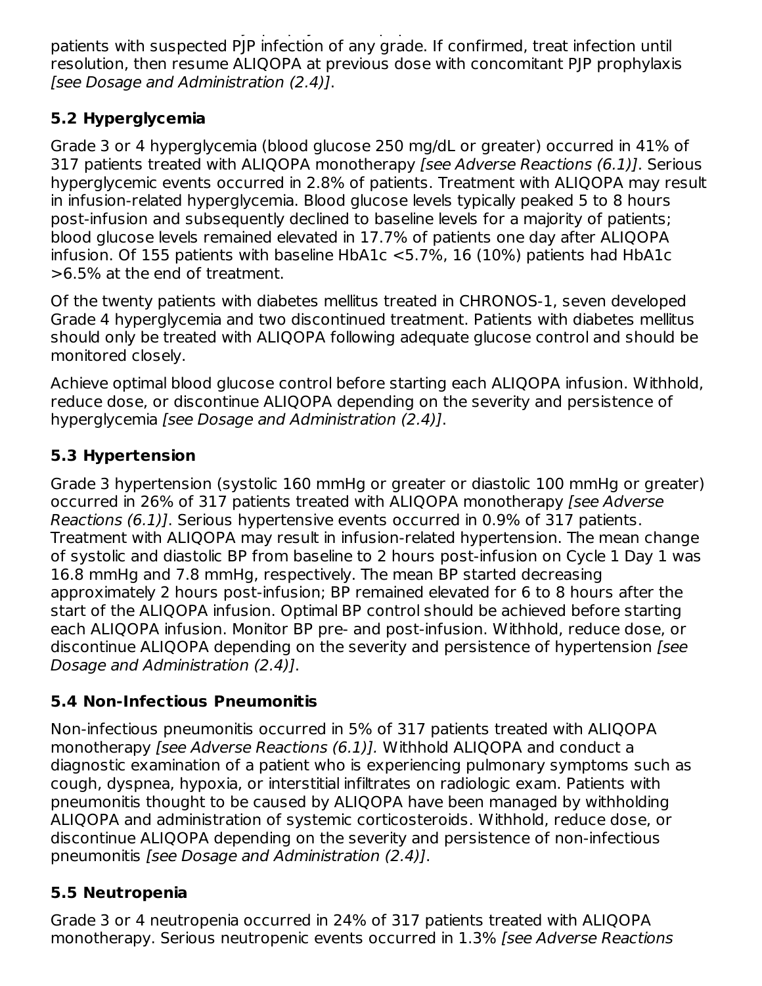with ALIQOPA, consider PJP prophylaxis for populations at risk. With prophylaxis for populations at risk. With patients with suspected PJP infection of any grade. If confirmed, treat infection until resolution, then resume ALIQOPA at previous dose with concomitant PJP prophylaxis [see Dosage and Administration (2.4)].

# **5.2 Hyperglycemia**

Grade 3 or 4 hyperglycemia (blood glucose 250 mg/dL or greater) occurred in 41% of 317 patients treated with ALIQOPA monotherapy [see Adverse Reactions (6.1)]. Serious hyperglycemic events occurred in 2.8% of patients. Treatment with ALIQOPA may result in infusion-related hyperglycemia. Blood glucose levels typically peaked 5 to 8 hours post-infusion and subsequently declined to baseline levels for a majority of patients; blood glucose levels remained elevated in 17.7% of patients one day after ALIQOPA infusion. Of 155 patients with baseline HbA1c <5.7%, 16 (10%) patients had HbA1c >6.5% at the end of treatment.

Of the twenty patients with diabetes mellitus treated in CHRONOS-1, seven developed Grade 4 hyperglycemia and two discontinued treatment. Patients with diabetes mellitus should only be treated with ALIQOPA following adequate glucose control and should be monitored closely.

Achieve optimal blood glucose control before starting each ALIQOPA infusion. Withhold, reduce dose, or discontinue ALIQOPA depending on the severity and persistence of hyperglycemia [see Dosage and Administration (2.4)].

# **5.3 Hypertension**

Grade 3 hypertension (systolic 160 mmHg or greater or diastolic 100 mmHg or greater) occurred in 26% of 317 patients treated with ALIQOPA monotherapy [see Adverse Reactions (6.1)]. Serious hypertensive events occurred in 0.9% of 317 patients. Treatment with ALIQOPA may result in infusion-related hypertension. The mean change of systolic and diastolic BP from baseline to 2 hours post-infusion on Cycle 1 Day 1 was 16.8 mmHg and 7.8 mmHg, respectively. The mean BP started decreasing approximately 2 hours post-infusion; BP remained elevated for 6 to 8 hours after the start of the ALIQOPA infusion. Optimal BP control should be achieved before starting each ALIQOPA infusion. Monitor BP pre- and post-infusion. Withhold, reduce dose, or discontinue ALIQOPA depending on the severity and persistence of hypertension [see Dosage and Administration (2.4)].

# **5.4 Non-Infectious Pneumonitis**

Non-infectious pneumonitis occurred in 5% of 317 patients treated with ALIQOPA monotherapy [see Adverse Reactions (6.1)]. Withhold ALIQOPA and conduct a diagnostic examination of a patient who is experiencing pulmonary symptoms such as cough, dyspnea, hypoxia, or interstitial infiltrates on radiologic exam. Patients with pneumonitis thought to be caused by ALIQOPA have been managed by withholding ALIQOPA and administration of systemic corticosteroids. Withhold, reduce dose, or discontinue ALIQOPA depending on the severity and persistence of non-infectious pneumonitis [see Dosage and Administration (2.4)].

## **5.5 Neutropenia**

Grade 3 or 4 neutropenia occurred in 24% of 317 patients treated with ALIQOPA monotherapy. Serious neutropenic events occurred in 1.3% *[see Adverse Reactions*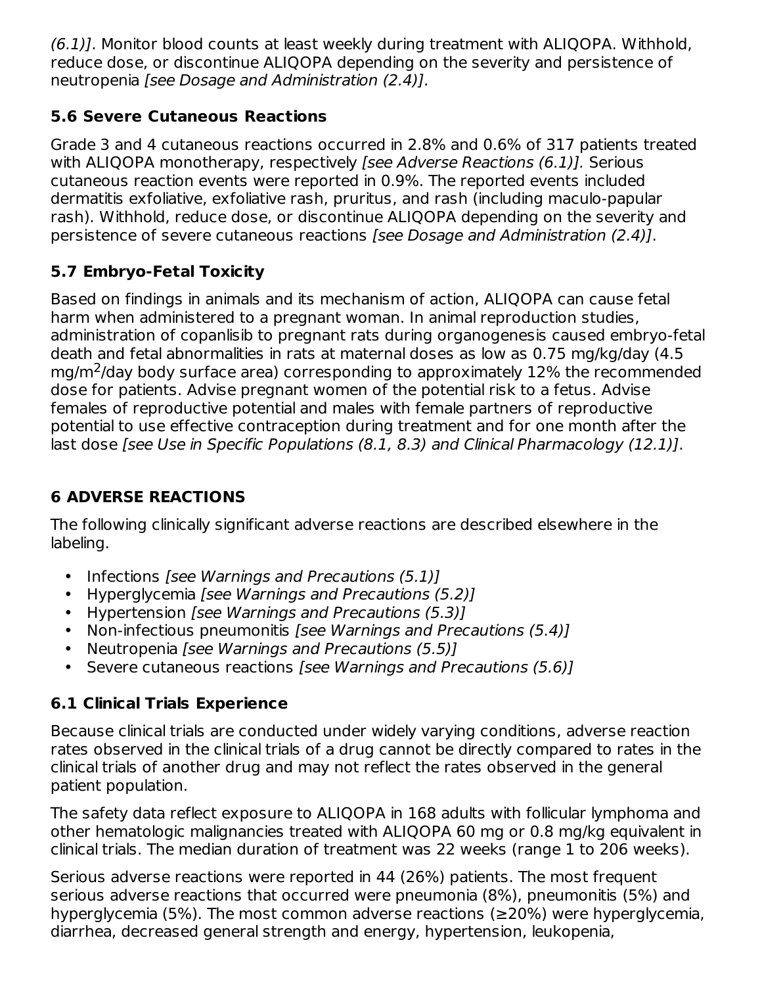(6.1)]. Monitor blood counts at least weekly during treatment with ALIQOPA. Withhold, reduce dose, or discontinue ALIQOPA depending on the severity and persistence of neutropenia [see Dosage and Administration (2.4)].

## **5.6 Severe Cutaneous Reactions**

Grade 3 and 4 cutaneous reactions occurred in 2.8% and 0.6% of 317 patients treated with ALIQOPA monotherapy, respectively *[see Adverse Reactions (6.1)]*. Serious cutaneous reaction events were reported in 0.9%. The reported events included dermatitis exfoliative, exfoliative rash, pruritus, and rash (including maculo-papular rash). Withhold, reduce dose, or discontinue ALIQOPA depending on the severity and persistence of severe cutaneous reactions [see Dosage and Administration (2.4)].

## **5.7 Embryo-Fetal Toxicity**

Based on findings in animals and its mechanism of action, ALIQOPA can cause fetal harm when administered to a pregnant woman. In animal reproduction studies, administration of copanlisib to pregnant rats during organogenesis caused embryo-fetal death and fetal abnormalities in rats at maternal doses as low as 0.75 mg/kg/day (4.5  $mg/m<sup>2</sup>/day$  body surface area) corresponding to approximately 12% the recommended dose for patients. Advise pregnant women of the potential risk to a fetus. Advise females of reproductive potential and males with female partners of reproductive potential to use effective contraception during treatment and for one month after the last dose [see Use in Specific Populations (8.1, 8.3) and Clinical Pharmacology (12.1)].

# **6 ADVERSE REACTIONS**

The following clinically significant adverse reactions are described elsewhere in the labeling.

- Infections [see Warnings and Precautions (5.1)]
- Hyperglycemia [see Warnings and Precautions (5.2)]
- Hypertension [see Warnings and Precautions (5.3)]
- Non-infectious pneumonitis [see Warnings and Precautions (5.4)]
- Neutropenia [see Warnings and Precautions (5.5)]
- Severe cutaneous reactions [see Warnings and Precautions (5.6)]

# **6.1 Clinical Trials Experience**

Because clinical trials are conducted under widely varying conditions, adverse reaction rates observed in the clinical trials of a drug cannot be directly compared to rates in the clinical trials of another drug and may not reflect the rates observed in the general patient population.

The safety data reflect exposure to ALIQOPA in 168 adults with follicular lymphoma and other hematologic malignancies treated with ALIQOPA 60 mg or 0.8 mg/kg equivalent in clinical trials. The median duration of treatment was 22 weeks (range 1 to 206 weeks).

Serious adverse reactions were reported in 44 (26%) patients. The most frequent serious adverse reactions that occurred were pneumonia (8%), pneumonitis (5%) and hyperglycemia (5%). The most common adverse reactions (≥20%) were hyperglycemia, diarrhea, decreased general strength and energy, hypertension, leukopenia,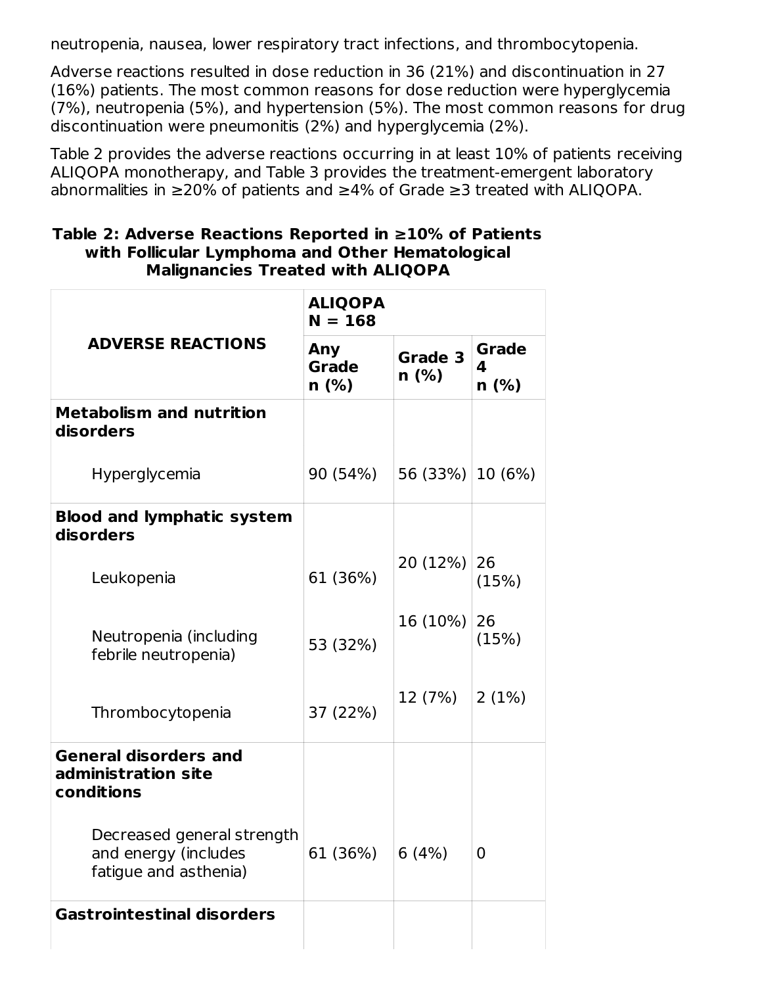neutropenia, nausea, lower respiratory tract infections, and thrombocytopenia.

Adverse reactions resulted in dose reduction in 36 (21%) and discontinuation in 27 (16%) patients. The most common reasons for dose reduction were hyperglycemia (7%), neutropenia (5%), and hypertension (5%). The most common reasons for drug discontinuation were pneumonitis (2%) and hyperglycemia (2%).

Table 2 provides the adverse reactions occurring in at least 10% of patients receiving ALIQOPA monotherapy, and Table 3 provides the treatment-emergent laboratory abnormalities in ≥20% of patients and ≥4% of Grade ≥3 treated with ALIQOPA.

| Table 2: Adverse Reactions Reported in $\geq 10\%$ of Patients |
|----------------------------------------------------------------|
| with Follicular Lymphoma and Other Hematological               |
| <b>Malignancies Treated with ALIQOPA</b>                       |
|                                                                |

|                                                                             | <b>ALIQOPA</b><br>$N = 168$ |                      |                              |
|-----------------------------------------------------------------------------|-----------------------------|----------------------|------------------------------|
| <b>ADVERSE REACTIONS</b>                                                    | Any<br><b>Grade</b><br>n(%) | Grade 3<br>$n$ (%)   | <b>Grade</b><br>4<br>$n$ (%) |
| <b>Metabolism and nutrition</b><br>disorders                                |                             |                      |                              |
| Hyperglycemia                                                               | 90 (54%)                    | 56 $(33%)$ 10 $(6%)$ |                              |
| <b>Blood and lymphatic system</b><br>disorders                              |                             |                      |                              |
| Leukopenia                                                                  | 61 (36%)                    | 20 (12%)             | 26<br>(15%)                  |
| Neutropenia (including<br>febrile neutropenia)                              | 53 (32%)                    | 16 (10%)             | 26<br>(15%)                  |
| Thrombocytopenia                                                            | 37 (22%)                    | 12 (7%)              | 2(1%)                        |
| <b>General disorders and</b><br>administration site<br>conditions           |                             |                      |                              |
| Decreased general strength<br>and energy (includes<br>fatigue and asthenia) | 61 (36%)                    | 6(4%)                | $\overline{0}$               |
| <b>Gastrointestinal disorders</b>                                           |                             |                      |                              |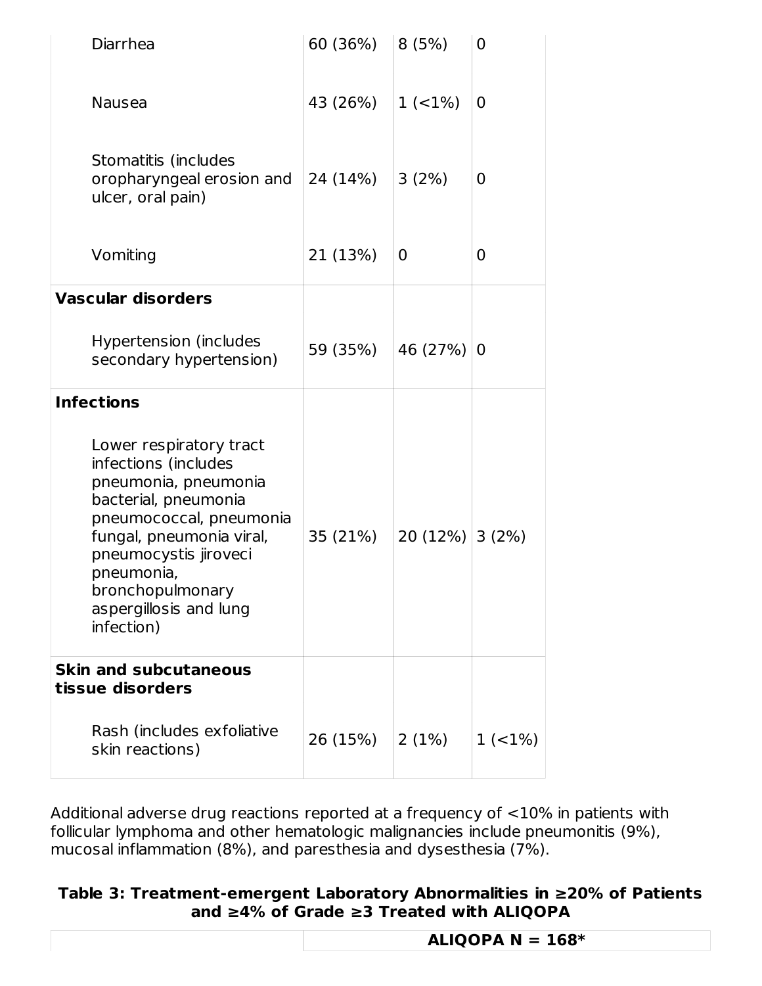| Diarrhea                                                                                                                                                                                                                                                  | 60 (36%) | 8(5%)             | 0      |
|-----------------------------------------------------------------------------------------------------------------------------------------------------------------------------------------------------------------------------------------------------------|----------|-------------------|--------|
| Nausea                                                                                                                                                                                                                                                    | 43 (26%) | 1(2%)             | 0      |
| Stomatitis (includes<br>oropharyngeal erosion and<br>ulcer, oral pain)                                                                                                                                                                                    | 24 (14%) | 3(2%)             | 0      |
| Vomiting                                                                                                                                                                                                                                                  | 21 (13%) | 0                 | 0      |
| <b>Vascular disorders</b>                                                                                                                                                                                                                                 |          |                   |        |
| Hypertension (includes<br>secondary hypertension)                                                                                                                                                                                                         | 59 (35%) | 46 (27%)          | 0      |
| <b>Infections</b>                                                                                                                                                                                                                                         |          |                   |        |
| Lower respiratory tract<br>infections (includes<br>pneumonia, pneumonia<br>bacterial, pneumonia<br>pneumococcal, pneumonia<br>fungal, pneumonia viral,<br>pneumocystis jiroveci<br>pneumonia,<br>bronchopulmonary<br>aspergillosis and lung<br>infection) | 35 (21%) | $20(12\%)$ 3 (2%) |        |
| <b>Skin and subcutaneous</b><br>tissue disorders                                                                                                                                                                                                          |          |                   |        |
| Rash (includes exfoliative<br>skin reactions)                                                                                                                                                                                                             | 26 (15%) | 2(1%)             | 1(21%) |

Additional adverse drug reactions reported at a frequency of <10% in patients with follicular lymphoma and other hematologic malignancies include pneumonitis (9%), mucosal inflammation (8%), and paresthesia and dysesthesia (7%).

### **Table 3: Treatment-emergent Laboratory Abnormalities in ≥20% of Patients and ≥4% of Grade ≥3 Treated with ALIQOPA**

| ALIQOPA $N = 168*$ |
|--------------------|
|                    |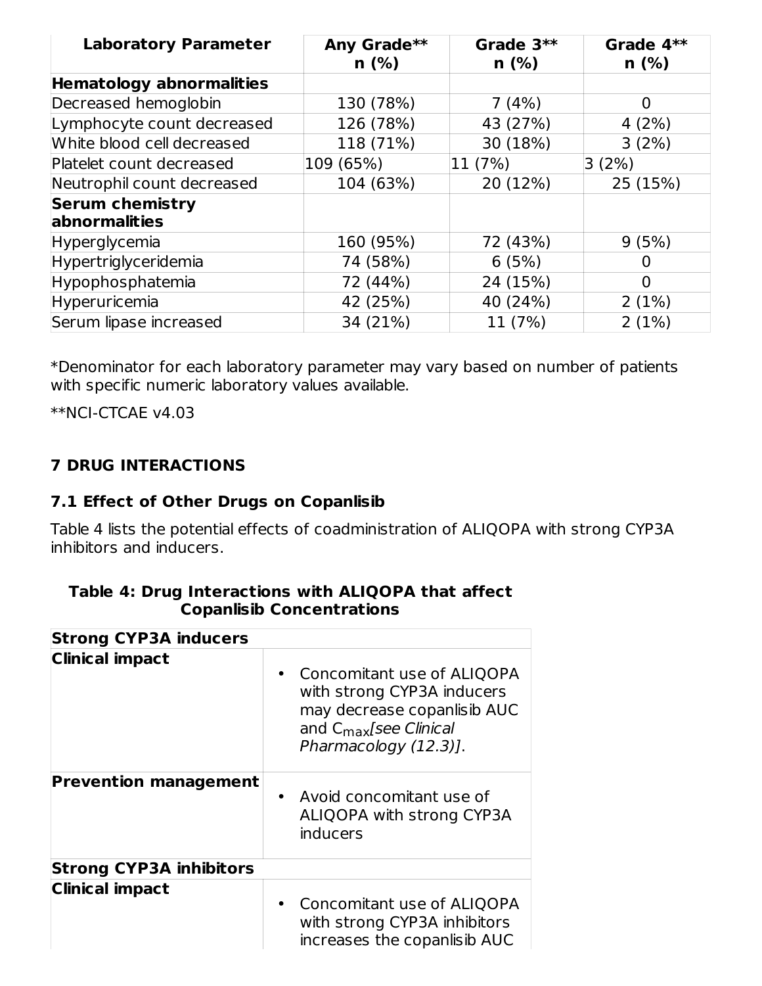| <b>Laboratory Parameter</b>                     | Any Grade**<br>$n$ (%) | Grade 3**<br>$n$ (%) | Grade $4**$<br>n(%) |
|-------------------------------------------------|------------------------|----------------------|---------------------|
| <b>Hematology abnormalities</b>                 |                        |                      |                     |
| Decreased hemoglobin                            | 130 (78%)              | 7(4%)                | 0                   |
| Lymphocyte count decreased                      | 126 (78%)              | 43 (27%)             | 4(2%)               |
| White blood cell decreased                      | 118 (71%)              | 30 (18%)             | 3(2%)               |
| Platelet count decreased                        | 109 (65%)              | 11 (7%)              | 3(2%)               |
| Neutrophil count decreased                      | 104 (63%)              | 20 (12%)             | 25 (15%)            |
| <b>Serum chemistry</b><br><b>labnormalities</b> |                        |                      |                     |
| <b>Hyperglycemia</b>                            | 160 (95%)              | 72 (43%)             | 9(5%)               |
| Hypertriglyceridemia                            | 74 (58%)               | 6(5%)                |                     |
| Hypophosphatemia                                | 72 (44%)               | 24 (15%)             | $\Omega$            |
| Hyperuricemia                                   | 42 (25%)               | 40 (24%)             | 2(1%)               |
| Serum lipase increased                          | 34 (21%)               | 11 (7%)              | 2(1%)               |

\*Denominator for each laboratory parameter may vary based on number of patients with specific numeric laboratory values available.

\*\*NCI-CTCAE v4.03

## **7 DRUG INTERACTIONS**

### **7.1 Effect of Other Drugs on Copanlisib**

Table 4 lists the potential effects of coadministration of ALIQOPA with strong CYP3A inhibitors and inducers.

| <b>Strong CYP3A inducers</b>   |                                                                                                                                                        |
|--------------------------------|--------------------------------------------------------------------------------------------------------------------------------------------------------|
| <b>Clinical impact</b>         | Concomitant use of ALIQOPA<br>with strong CYP3A inducers<br>may decrease copanlisib AUC<br>and $C_{\text{max}}$ [see Clinical<br>Pharmacology (12.3)]. |
| <b>Prevention management</b>   | Avoid concomitant use of<br>$\bullet$<br>ALIQOPA with strong CYP3A<br>inducers                                                                         |
| <b>Strong CYP3A inhibitors</b> |                                                                                                                                                        |
| <b>Clinical impact</b>         | Concomitant use of ALIQOPA<br>with strong CYP3A inhibitors<br>increases the copanlisib AUC                                                             |

#### **Table 4: Drug Interactions with ALIQOPA that affect Copanlisib Concentrations**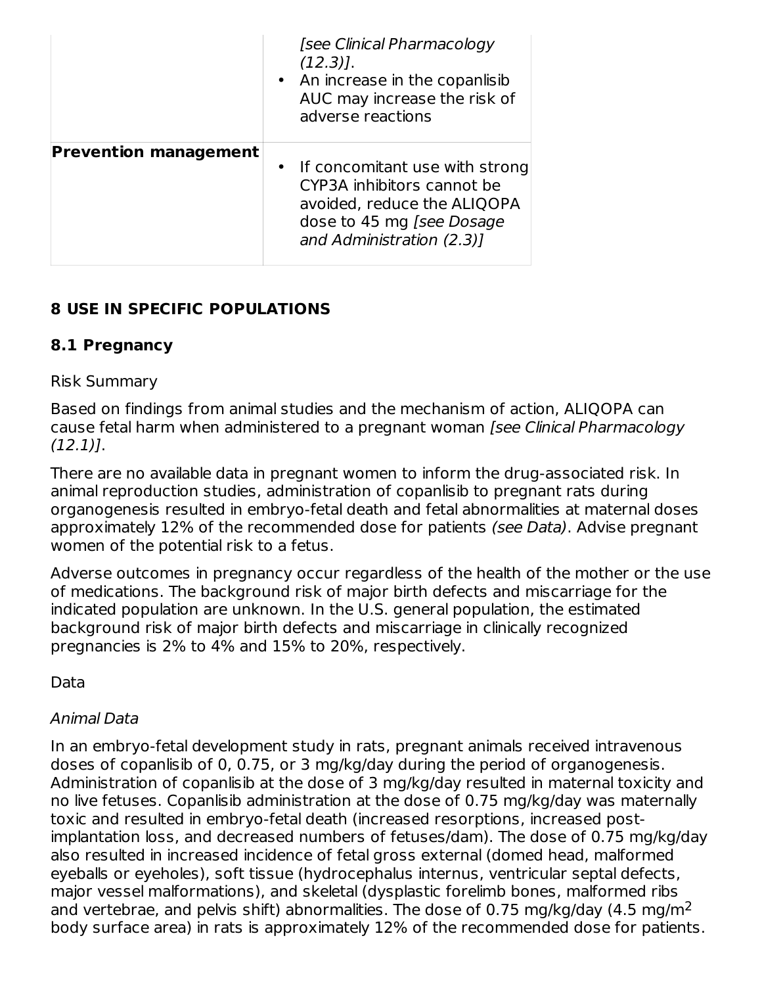|                              | [see Clinical Pharmacology<br>$(12.3)$ ].<br>• An increase in the copanlisib<br>AUC may increase the risk of<br>adverse reactions                       |
|------------------------------|---------------------------------------------------------------------------------------------------------------------------------------------------------|
| <b>Prevention management</b> | • If concomitant use with strong<br>CYP3A inhibitors cannot be<br>avoided, reduce the ALIQOPA<br>dose to 45 mg [see Dosage<br>and Administration (2.3)] |

## **8 USE IN SPECIFIC POPULATIONS**

### **8.1 Pregnancy**

### Risk Summary

Based on findings from animal studies and the mechanism of action, ALIQOPA can cause fetal harm when administered to a pregnant woman [see Clinical Pharmacology  $(12.1)$ .

There are no available data in pregnant women to inform the drug-associated risk. In animal reproduction studies, administration of copanlisib to pregnant rats during organogenesis resulted in embryo-fetal death and fetal abnormalities at maternal doses approximately 12% of the recommended dose for patients (see Data). Advise pregnant women of the potential risk to a fetus.

Adverse outcomes in pregnancy occur regardless of the health of the mother or the use of medications. The background risk of major birth defects and miscarriage for the indicated population are unknown. In the U.S. general population, the estimated background risk of major birth defects and miscarriage in clinically recognized pregnancies is 2% to 4% and 15% to 20%, respectively.

Data

### Animal Data

In an embryo-fetal development study in rats, pregnant animals received intravenous doses of copanlisib of 0, 0.75, or 3 mg/kg/day during the period of organogenesis. Administration of copanlisib at the dose of 3 mg/kg/day resulted in maternal toxicity and no live fetuses. Copanlisib administration at the dose of 0.75 mg/kg/day was maternally toxic and resulted in embryo-fetal death (increased resorptions, increased postimplantation loss, and decreased numbers of fetuses/dam). The dose of 0.75 mg/kg/day also resulted in increased incidence of fetal gross external (domed head, malformed eyeballs or eyeholes), soft tissue (hydrocephalus internus, ventricular septal defects, major vessel malformations), and skeletal (dysplastic forelimb bones, malformed ribs and vertebrae, and pelvis shift) abnormalities. The dose of 0.75 mg/kg/day (4.5 mg/m $^2$ body surface area) in rats is approximately 12% of the recommended dose for patients.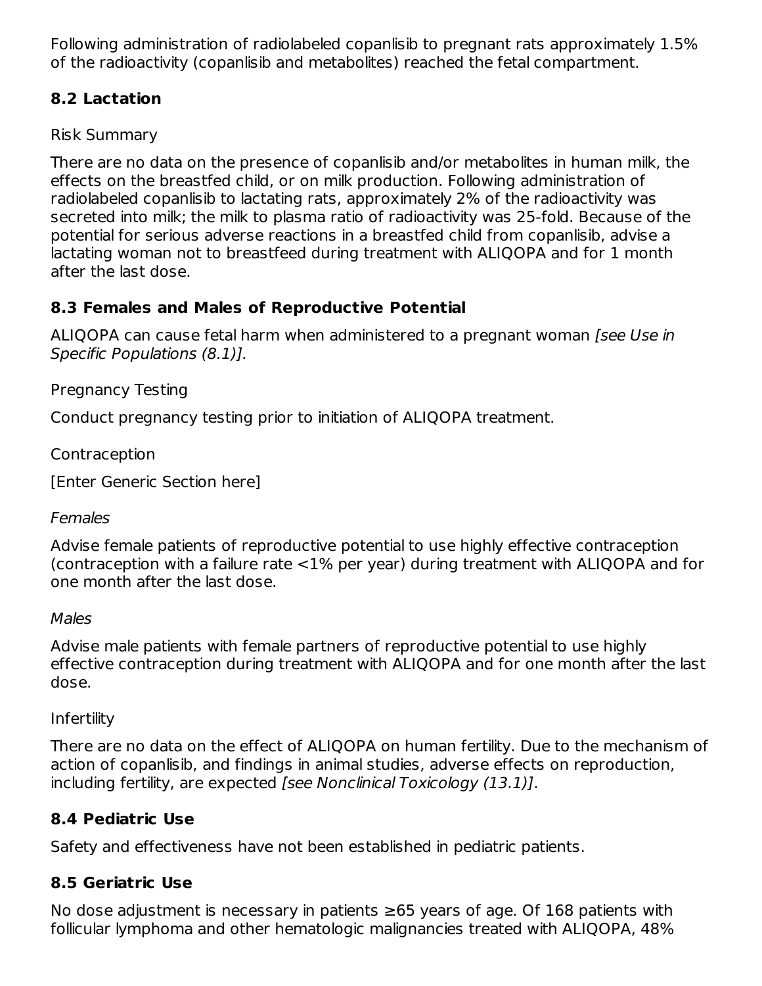Following administration of radiolabeled copanlisib to pregnant rats approximately 1.5% of the radioactivity (copanlisib and metabolites) reached the fetal compartment.

## **8.2 Lactation**

Risk Summary

There are no data on the presence of copanlisib and/or metabolites in human milk, the effects on the breastfed child, or on milk production. Following administration of radiolabeled copanlisib to lactating rats, approximately 2% of the radioactivity was secreted into milk; the milk to plasma ratio of radioactivity was 25-fold. Because of the potential for serious adverse reactions in a breastfed child from copanlisib, advise a lactating woman not to breastfeed during treatment with ALIQOPA and for 1 month after the last dose.

## **8.3 Females and Males of Reproductive Potential**

ALIQOPA can cause fetal harm when administered to a pregnant woman *[see Use in* Specific Populations (8.1)].

Pregnancy Testing

Conduct pregnancy testing prior to initiation of ALIQOPA treatment.

Contraception

[Enter Generic Section here]

## Females

Advise female patients of reproductive potential to use highly effective contraception (contraception with a failure rate <1% per year) during treatment with ALIQOPA and for one month after the last dose.

## Males

Advise male patients with female partners of reproductive potential to use highly effective contraception during treatment with ALIQOPA and for one month after the last dose.

## Infertility

There are no data on the effect of ALIQOPA on human fertility. Due to the mechanism of action of copanlisib, and findings in animal studies, adverse effects on reproduction, including fertility, are expected [see Nonclinical Toxicology (13.1)].

## **8.4 Pediatric Use**

Safety and effectiveness have not been established in pediatric patients.

## **8.5 Geriatric Use**

No dose adjustment is necessary in patients ≥65 years of age. Of 168 patients with follicular lymphoma and other hematologic malignancies treated with ALIQOPA, 48%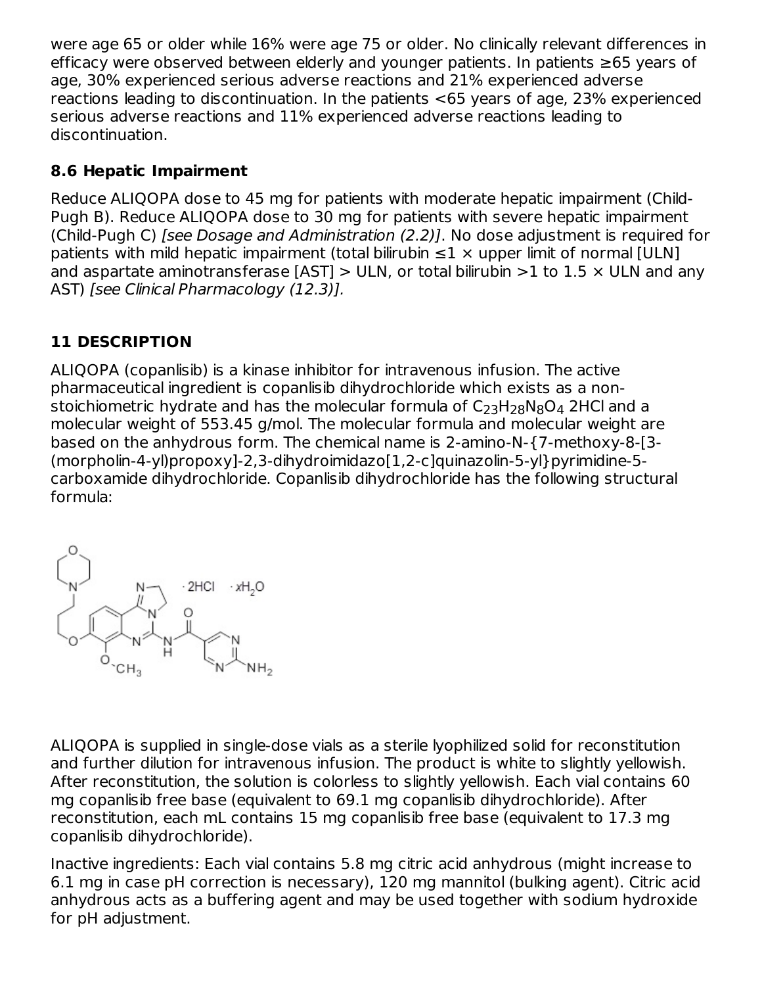were age 65 or older while 16% were age 75 or older. No clinically relevant differences in efficacy were observed between elderly and younger patients. In patients ≥65 years of age, 30% experienced serious adverse reactions and 21% experienced adverse reactions leading to discontinuation. In the patients <65 years of age, 23% experienced serious adverse reactions and 11% experienced adverse reactions leading to discontinuation.

## **8.6 Hepatic Impairment**

Reduce ALIQOPA dose to 45 mg for patients with moderate hepatic impairment (Child-Pugh B). Reduce ALIQOPA dose to 30 mg for patients with severe hepatic impairment (Child-Pugh C) [see Dosage and Administration (2.2)]. No dose adjustment is required for patients with mild hepatic impairment (total bilirubin  $\leq 1 \times$  upper limit of normal [ULN] and aspartate aminotransferase [AST]  $>$  ULN, or total bilirubin  $>$ 1 to 1.5  $\times$  ULN and any AST) [see Clinical Pharmacology (12.3)].

## **11 DESCRIPTION**

ALIQOPA (copanlisib) is a kinase inhibitor for intravenous infusion. The active pharmaceutical ingredient is copanlisib dihydrochloride which exists as a nonstoichiometric hydrate and has the molecular formula of  $\mathsf{C}_{23}\mathsf{H}_{28}\mathsf{N}_{8}\mathsf{O}_{4}$  2HCl and a molecular weight of 553.45 g/mol. The molecular formula and molecular weight are based on the anhydrous form. The chemical name is 2-amino-N-{7-methoxy-8-[3- (morpholin-4-yl)propoxy]-2,3-dihydroimidazo[1,2-c]quinazolin-5-yl}pyrimidine-5 carboxamide dihydrochloride. Copanlisib dihydrochloride has the following structural formula:



ALIQOPA is supplied in single-dose vials as a sterile lyophilized solid for reconstitution and further dilution for intravenous infusion. The product is white to slightly yellowish. After reconstitution, the solution is colorless to slightly yellowish. Each vial contains 60 mg copanlisib free base (equivalent to 69.1 mg copanlisib dihydrochloride). After reconstitution, each mL contains 15 mg copanlisib free base (equivalent to 17.3 mg copanlisib dihydrochloride).

Inactive ingredients: Each vial contains 5.8 mg citric acid anhydrous (might increase to 6.1 mg in case pH correction is necessary), 120 mg mannitol (bulking agent). Citric acid anhydrous acts as a buffering agent and may be used together with sodium hydroxide for pH adjustment.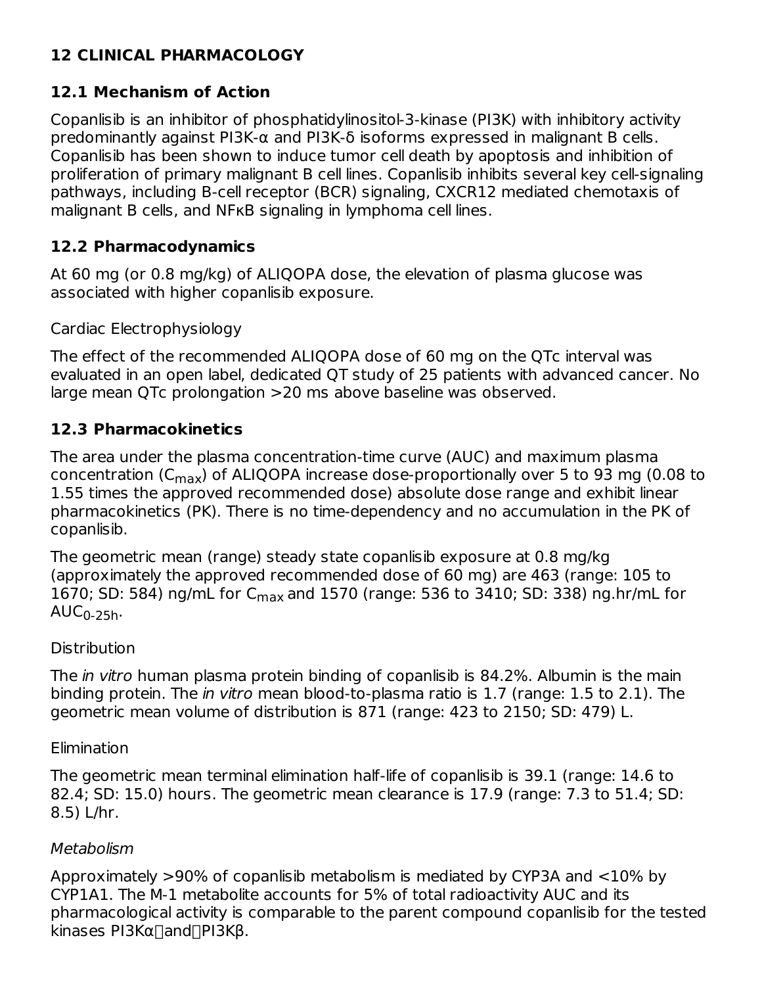## **12 CLINICAL PHARMACOLOGY**

## **12.1 Mechanism of Action**

Copanlisib is an inhibitor of phosphatidylinositol-3-kinase (PI3K) with inhibitory activity predominantly against PI3K-α and PI3K-δ isoforms expressed in malignant B cells. Copanlisib has been shown to induce tumor cell death by apoptosis and inhibition of proliferation of primary malignant B cell lines. Copanlisib inhibits several key cell-signaling pathways, including B-cell receptor (BCR) signaling, CXCR12 mediated chemotaxis of malignant B cells, and NFKB signaling in lymphoma cell lines.

## **12.2 Pharmacodynamics**

At 60 mg (or 0.8 mg/kg) of ALIQOPA dose, the elevation of plasma glucose was associated with higher copanlisib exposure.

Cardiac Electrophysiology

The effect of the recommended ALIQOPA dose of 60 mg on the QTc interval was evaluated in an open label, dedicated QT study of 25 patients with advanced cancer. No large mean QTc prolongation >20 ms above baseline was observed.

## **12.3 Pharmacokinetics**

The area under the plasma concentration-time curve (AUC) and maximum plasma concentration (C<sub>max</sub>) of ALIQOPA increase dose-proportionally over 5 to 93 mg (0.08 to 1.55 times the approved recommended dose) absolute dose range and exhibit linear pharmacokinetics (PK). There is no time-dependency and no accumulation in the PK of copanlisib.

The geometric mean (range) steady state copanlisib exposure at 0.8 mg/kg (approximately the approved recommended dose of 60 mg) are 463 (range: 105 to 1670; SD: 584) ng/mL for C<sub>max</sub> and 1570 (range: 536 to 3410; SD: 338) ng.hr/mL for  $\mathsf{AUC}_{\mathsf{0}\text{-}25\mathsf{h}}$ .

## **Distribution**

The in vitro human plasma protein binding of copanlisib is 84.2%. Albumin is the main binding protein. The in vitro mean blood-to-plasma ratio is 1.7 (range: 1.5 to 2.1). The geometric mean volume of distribution is 871 (range: 423 to 2150; SD: 479) L.

## Elimination

The geometric mean terminal elimination half-life of copanlisib is 39.1 (range: 14.6 to 82.4; SD: 15.0) hours. The geometric mean clearance is 17.9 (range: 7.3 to 51.4; SD: 8.5) L/hr.

## Metabolism

Approximately >90% of copanlisib metabolism is mediated by CYP3A and <10% by CYP1A1. The M-1 metabolite accounts for 5% of total radioactivity AUC and its pharmacological activity is comparable to the parent compound copanlisib for the tested kinases PI3Kα∏and∏PI3Kβ.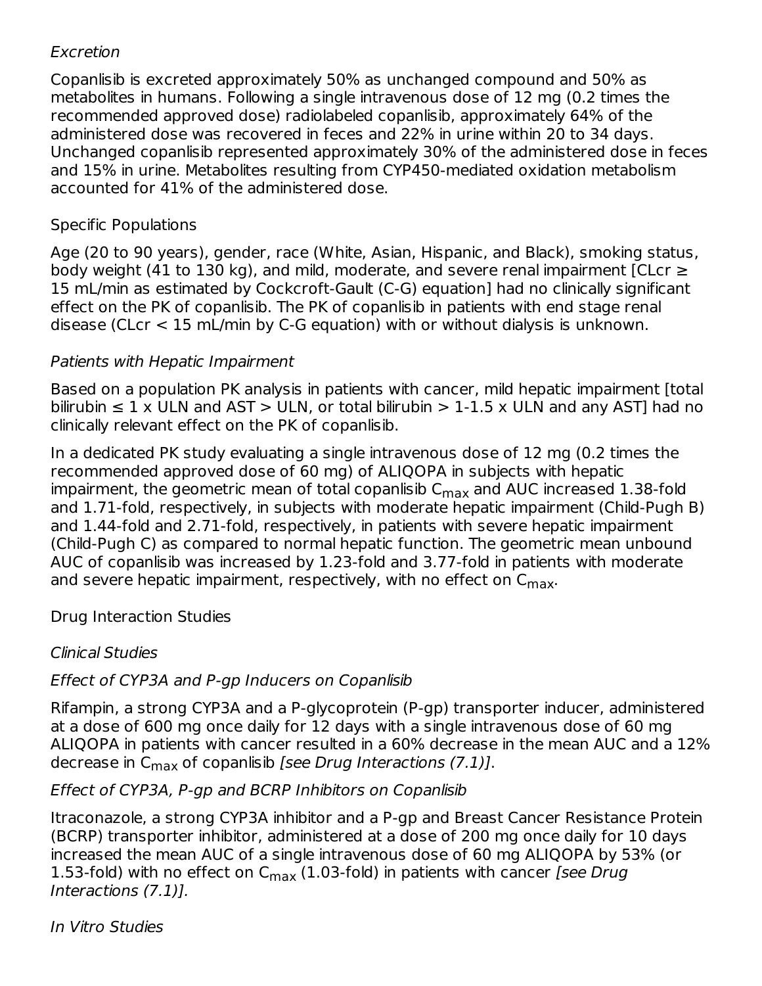### Excretion

Copanlisib is excreted approximately 50% as unchanged compound and 50% as metabolites in humans. Following a single intravenous dose of 12 mg (0.2 times the recommended approved dose) radiolabeled copanlisib, approximately 64% of the administered dose was recovered in feces and 22% in urine within 20 to 34 days. Unchanged copanlisib represented approximately 30% of the administered dose in feces and 15% in urine. Metabolites resulting from CYP450-mediated oxidation metabolism accounted for 41% of the administered dose.

### Specific Populations

Age (20 to 90 years), gender, race (White, Asian, Hispanic, and Black), smoking status, body weight (41 to 130 kg), and mild, moderate, and severe renal impairment [CLcr  $\geq$ 15 mL/min as estimated by Cockcroft-Gault (C-G) equation] had no clinically significant effect on the PK of copanlisib. The PK of copanlisib in patients with end stage renal disease (CLcr < 15 mL/min by C-G equation) with or without dialysis is unknown.

### Patients with Hepatic Impairment

Based on a population PK analysis in patients with cancer, mild hepatic impairment [total bilirubin  $\leq 1$  x ULN and AST > ULN, or total bilirubin > 1-1.5 x ULN and any AST] had no clinically relevant effect on the PK of copanlisib.

In a dedicated PK study evaluating a single intravenous dose of 12 mg (0.2 times the recommended approved dose of 60 mg) of ALIQOPA in subjects with hepatic impairment, the geometric mean of total copanlisib  $\mathsf{C}_{\mathsf{max}}$  and AUC increased  $1.38$ -fold and 1.71-fold, respectively, in subjects with moderate hepatic impairment (Child-Pugh B) and 1.44-fold and 2.71-fold, respectively, in patients with severe hepatic impairment (Child‑Pugh C) as compared to normal hepatic function. The geometric mean unbound AUC of copanlisib was increased by 1.23-fold and 3.77-fold in patients with moderate and severe hepatic impairment, respectively, with no effect on  $\mathsf{C}_{\mathsf{max}}$ .

### Drug Interaction Studies

## Clinical Studies

## Effect of CYP3A and P-gp Inducers on Copanlisib

Rifampin, a strong CYP3A and a P-glycoprotein (P-gp) transporter inducer, administered at a dose of 600 mg once daily for 12 days with a single intravenous dose of 60 mg ALIQOPA in patients with cancer resulted in a 60% decrease in the mean AUC and a 12% decrease in C<sub>max</sub> of copanlisib *[see Drug Interactions (7.1)].* 

### Effect of CYP3A, P-gp and BCRP Inhibitors on Copanlisib

Itraconazole, a strong CYP3A inhibitor and a P-gp and Breast Cancer Resistance Protein (BCRP) transporter inhibitor, administered at a dose of 200 mg once daily for 10 days increased the mean AUC of a single intravenous dose of 60 mg ALIQOPA by 53% (or 1.53-fold) with no effect on  $C_{\rm max}$  (1.03-fold) in patients with cancer *[see Drug* Interactions (7.1)].

In Vitro Studies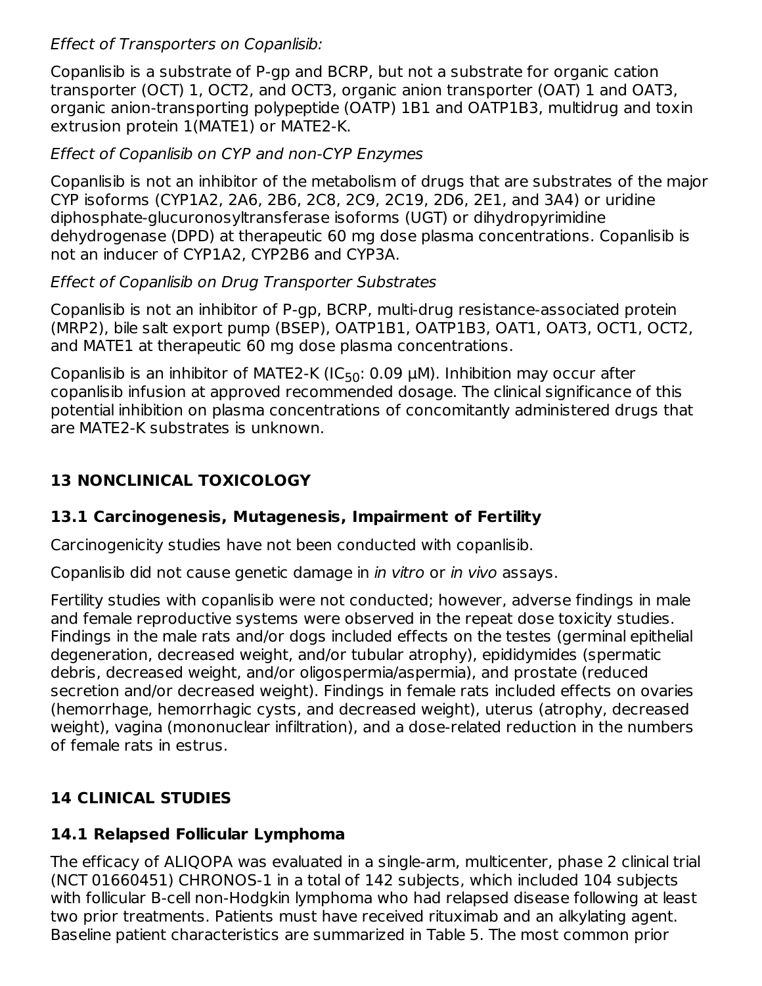### Effect of Transporters on Copanlisib:

Copanlisib is a substrate of P-gp and BCRP, but not a substrate for organic cation transporter (OCT) 1, OCT2, and OCT3, organic anion transporter (OAT) 1 and OAT3, organic anion-transporting polypeptide (OATP) 1B1 and OATP1B3, multidrug and toxin extrusion protein 1(MATE1) or MATE2-K.

### Effect of Copanlisib on CYP and non-CYP Enzymes

Copanlisib is not an inhibitor of the metabolism of drugs that are substrates of the major CYP isoforms (CYP1A2, 2A6, 2B6, 2C8, 2C9, 2C19, 2D6, 2E1, and 3A4) or uridine diphosphate-glucuronosyltransferase isoforms (UGT) or dihydropyrimidine dehydrogenase (DPD) at therapeutic 60 mg dose plasma concentrations. Copanlisib is not an inducer of CYP1A2, CYP2B6 and CYP3A.

### Effect of Copanlisib on Drug Transporter Substrates

Copanlisib is not an inhibitor of P-gp, BCRP, multi-drug resistance-associated protein (MRP2), bile salt export pump (BSEP), OATP1B1, OATP1B3, OAT1, OAT3, OCT1, OCT2, and MATE1 at therapeutic 60 mg dose plasma concentrations.

Copanlisib is an inhibitor of MATE2-K (IC $_{50}$ : 0.09  $\mu$ M). Inhibition may occur after copanlisib infusion at approved recommended dosage. The clinical significance of this potential inhibition on plasma concentrations of concomitantly administered drugs that are MATE2-K substrates is unknown.

## **13 NONCLINICAL TOXICOLOGY**

## **13.1 Carcinogenesis, Mutagenesis, Impairment of Fertility**

Carcinogenicity studies have not been conducted with copanlisib.

Copanlisib did not cause genetic damage in in vitro or in vivo assays.

Fertility studies with copanlisib were not conducted; however, adverse findings in male and female reproductive systems were observed in the repeat dose toxicity studies. Findings in the male rats and/or dogs included effects on the testes (germinal epithelial degeneration, decreased weight, and/or tubular atrophy), epididymides (spermatic debris, decreased weight, and/or oligospermia/aspermia), and prostate (reduced secretion and/or decreased weight). Findings in female rats included effects on ovaries (hemorrhage, hemorrhagic cysts, and decreased weight), uterus (atrophy, decreased weight), vagina (mononuclear infiltration), and a dose-related reduction in the numbers of female rats in estrus.

## **14 CLINICAL STUDIES**

# **14.1 Relapsed Follicular Lymphoma**

The efficacy of ALIQOPA was evaluated in a single-arm, multicenter, phase 2 clinical trial (NCT 01660451) CHRONOS-1 in a total of 142 subjects, which included 104 subjects with follicular B-cell non-Hodgkin lymphoma who had relapsed disease following at least two prior treatments. Patients must have received rituximab and an alkylating agent. Baseline patient characteristics are summarized in Table 5. The most common prior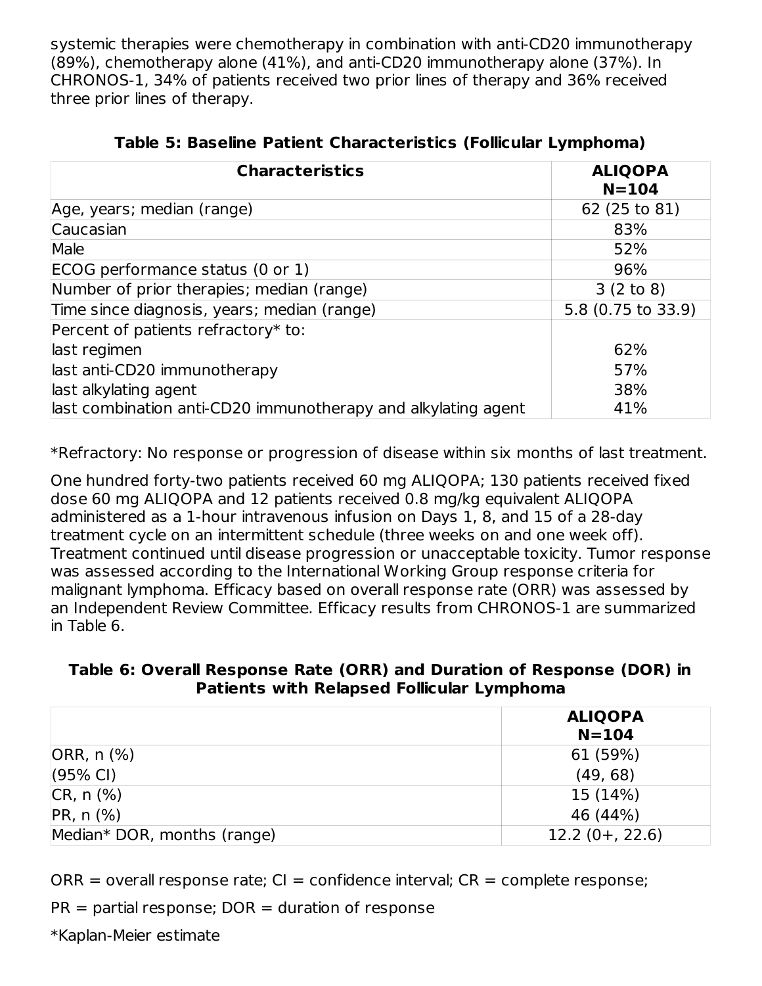systemic therapies were chemotherapy in combination with anti-CD20 immunotherapy (89%), chemotherapy alone (41%), and anti-CD20 immunotherapy alone (37%). In CHRONOS-1, 34% of patients received two prior lines of therapy and 36% received three prior lines of therapy.

| <b>Characteristics</b>                                        | <b>ALIQOPA</b><br>$N = 104$ |  |
|---------------------------------------------------------------|-----------------------------|--|
| Age, years; median (range)                                    | 62 (25 to 81)               |  |
| Caucasian                                                     | 83%                         |  |
| Male                                                          | 52%                         |  |
| ECOG performance status (0 or 1)                              | 96%                         |  |
| Number of prior therapies; median (range)                     | 3(2 to 8)                   |  |
| Time since diagnosis, years; median (range)                   | 5.8 (0.75 to 33.9)          |  |
| Percent of patients refractory* to:                           |                             |  |
| last regimen                                                  | 62%                         |  |
| last anti-CD20 immunotherapy                                  | 57%                         |  |
| last alkylating agent                                         | 38%                         |  |
| last combination anti-CD20 immunotherapy and alkylating agent | 41%                         |  |

| Table 5: Baseline Patient Characteristics (Follicular Lymphoma) |  |  |  |
|-----------------------------------------------------------------|--|--|--|
|-----------------------------------------------------------------|--|--|--|

\*Refractory: No response or progression of disease within six months of last treatment.

One hundred forty-two patients received 60 mg ALIQOPA; 130 patients received fixed dose 60 mg ALIQOPA and 12 patients received 0.8 mg/kg equivalent ALIQOPA administered as a 1-hour intravenous infusion on Days 1, 8, and 15 of a 28-day treatment cycle on an intermittent schedule (three weeks on and one week off). Treatment continued until disease progression or unacceptable toxicity. Tumor response was assessed according to the International Working Group response criteria for malignant lymphoma. Efficacy based on overall response rate (ORR) was assessed by an Independent Review Committee. Efficacy results from CHRONOS-1 are summarized in Table 6.

### **Table 6: Overall Response Rate (ORR) and Duration of Response (DOR) in Patients with Relapsed Follicular Lymphoma**

|                             | <b>ALIQOPA</b><br>$N = 104$ |
|-----------------------------|-----------------------------|
| ORR, n (%)                  | 61 (59%)                    |
| $(95% \text{ Cl})$          | (49, 68)                    |
| $CR, n (\%)$                | 15 (14%)                    |
| $PR, n$ (%)                 | 46 (44%)                    |
| Median* DOR, months (range) | $12.2(0+, 22.6)$            |

 $ORR = overall response rate$ ; CI = confidence interval;  $CR = complete response$ ;

 $PR =$  partial response;  $DOR =$  duration of response

\*Kaplan-Meier estimate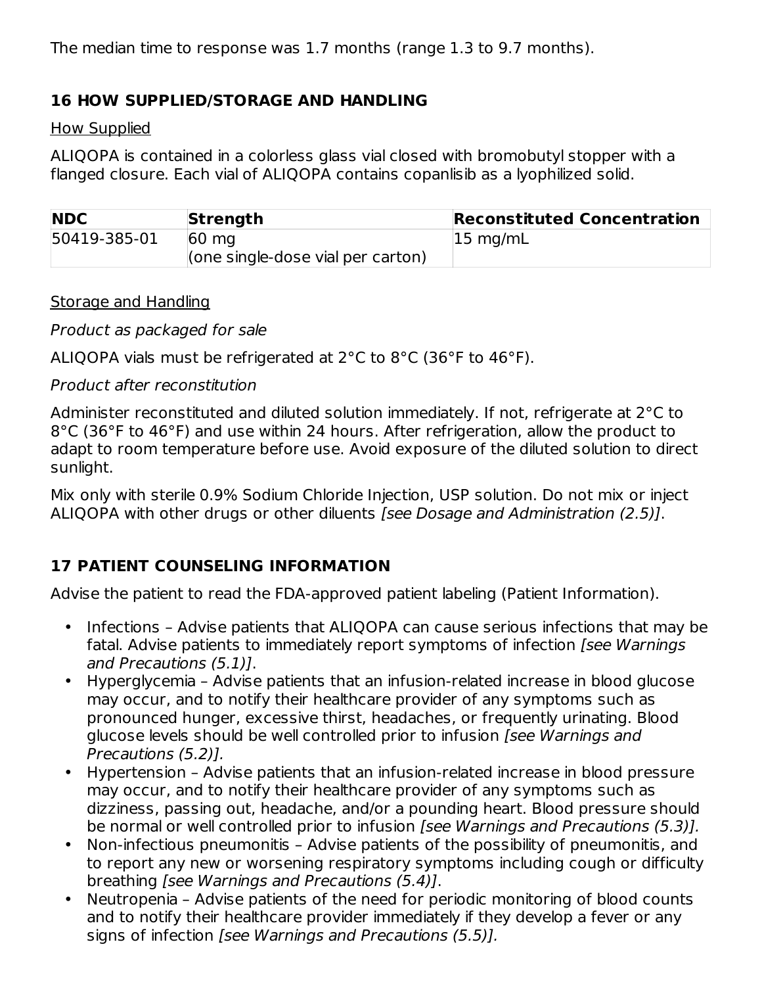The median time to response was 1.7 months (range 1.3 to 9.7 months).

### **16 HOW SUPPLIED/STORAGE AND HANDLING**

#### How Supplied

ALIQOPA is contained in a colorless glass vial closed with bromobutyl stopper with a flanged closure. Each vial of ALIQOPA contains copanlisib as a lyophilized solid.

| <b>NDC</b>   | Strength                                  | <b>Reconstituted Concentration</b> |
|--------------|-------------------------------------------|------------------------------------|
| 50419-385-01 | $60 \text{ mg}$                           | $ 15 \text{ mg/mL}$                |
|              | $\vert$ (one single-dose vial per carton) |                                    |

Storage and Handling

Product as packaged for sale

ALIQOPA vials must be refrigerated at 2°C to 8°C (36°F to 46°F).

Product after reconstitution

Administer reconstituted and diluted solution immediately. If not, refrigerate at 2°C to 8°C (36°F to 46°F) and use within 24 hours. After refrigeration, allow the product to adapt to room temperature before use. Avoid exposure of the diluted solution to direct sunlight.

Mix only with sterile 0.9% Sodium Chloride Injection, USP solution. Do not mix or inject ALIQOPA with other drugs or other diluents [see Dosage and Administration (2.5)].

## **17 PATIENT COUNSELING INFORMATION**

Advise the patient to read the FDA-approved patient labeling (Patient Information).

- Infections Advise patients that ALIQOPA can cause serious infections that may be fatal. Advise patients to immediately report symptoms of infection [see Warnings] and Precautions (5.1)].
- Hyperglycemia Advise patients that an infusion-related increase in blood glucose may occur, and to notify their healthcare provider of any symptoms such as pronounced hunger, excessive thirst, headaches, or frequently urinating. Blood glucose levels should be well controlled prior to infusion [see Warnings and Precautions (5.2)].
- Hypertension Advise patients that an infusion-related increase in blood pressure may occur, and to notify their healthcare provider of any symptoms such as dizziness, passing out, headache, and/or a pounding heart. Blood pressure should be normal or well controlled prior to infusion [see Warnings and Precautions (5.3)].
- Non-infectious pneumonitis – Advise patients of the possibility of pneumonitis, and to report any new or worsening respiratory symptoms including cough or difficulty breathing [see Warnings and Precautions (5.4)].
- Neutropenia Advise patients of the need for periodic monitoring of blood counts and to notify their healthcare provider immediately if they develop a fever or any signs of infection [see Warnings and Precautions (5.5)].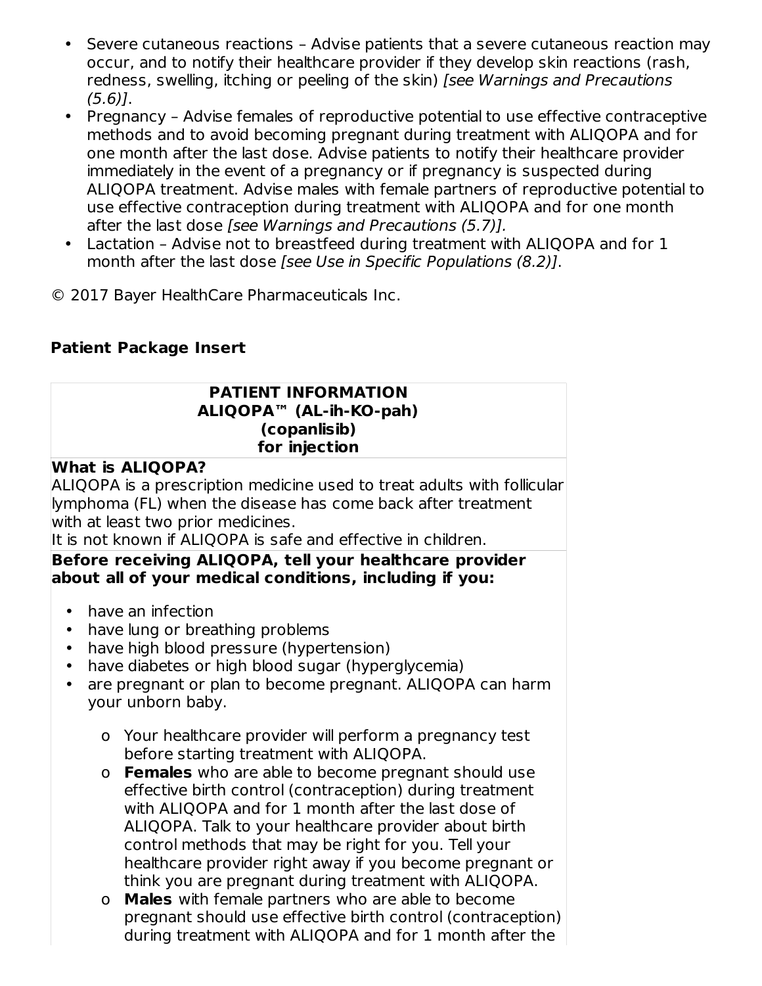- $\bullet$ Severe cutaneous reactions – Advise patients that a severe cutaneous reaction may occur, and to notify their healthcare provider if they develop skin reactions (rash, redness, swelling, itching or peeling of the skin) [see Warnings and Precautions (5.6)].
- Pregnancy – Advise females of reproductive potential to use effective contraceptive methods and to avoid becoming pregnant during treatment with ALIQOPA and for one month after the last dose. Advise patients to notify their healthcare provider immediately in the event of a pregnancy or if pregnancy is suspected during ALIQOPA treatment. Advise males with female partners of reproductive potential to use effective contraception during treatment with ALIQOPA and for one month after the last dose [see Warnings and Precautions (5.7)].
- Lactation Advise not to breastfeed during treatment with ALIQOPA and for 1 month after the last dose [see Use in Specific Populations (8.2)].
- © 2017 Bayer HealthCare Pharmaceuticals Inc.

## **Patient Package Insert**

#### **PATIENT INFORMATION ALIQOPA™ (AL-ih-KO-pah) (copanlisib) for injection**

### **What is ALIQOPA?**

ALIQOPA is a prescription medicine used to treat adults with follicular lymphoma (FL) when the disease has come back after treatment with at least two prior medicines.

It is not known if ALIQOPA is safe and effective in children.

#### **Before receiving ALIQOPA, tell your healthcare provider about all of your medical conditions, including if you:**

- have an infection
- have lung or breathing problems
- have high blood pressure (hypertension)
- have diabetes or high blood sugar (hyperglycemia)
- are pregnant or plan to become pregnant. ALIQOPA can harm your unborn baby.
	- o Your healthcare provider will perform a pregnancy test before starting treatment with ALIQOPA.
	- o **Females** who are able to become pregnant should use effective birth control (contraception) during treatment with ALIQOPA and for 1 month after the last dose of ALIQOPA. Talk to your healthcare provider about birth control methods that may be right for you. Tell your healthcare provider right away if you become pregnant or think you are pregnant during treatment with ALIQOPA.
	- o **Males** with female partners who are able to become pregnant should use effective birth control (contraception) during treatment with ALIQOPA and for 1 month after the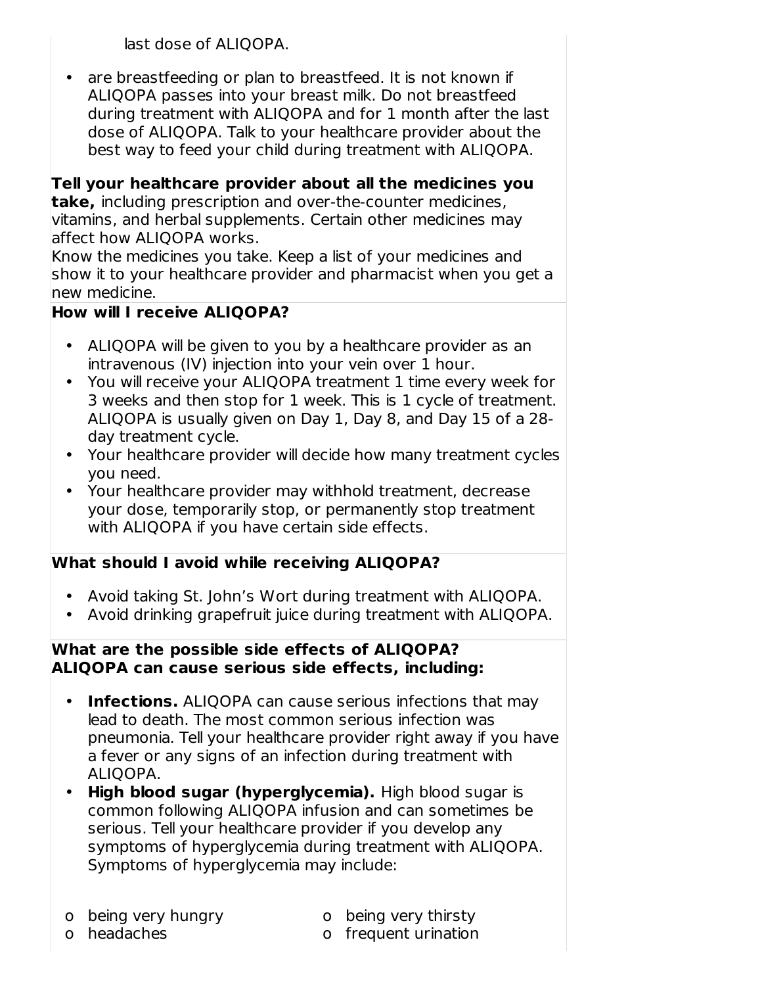last dose of ALIQOPA.

• are breastfeeding or plan to breastfeed. It is not known if ALIQOPA passes into your breast milk. Do not breastfeed during treatment with ALIQOPA and for 1 month after the last dose of ALIQOPA. Talk to your healthcare provider about the best way to feed your child during treatment with ALIQOPA.

**Tell your healthcare provider about all the medicines you take,** including prescription and over-the-counter medicines, vitamins, and herbal supplements. Certain other medicines may affect how ALIQOPA works.

Know the medicines you take. Keep a list of your medicines and show it to your healthcare provider and pharmacist when you get a new medicine.

## **How will I receive ALIQOPA?**

- ALIQOPA will be given to you by a healthcare provider as an intravenous (IV) injection into your vein over 1 hour.
- You will receive your ALIQOPA treatment 1 time every week for 3 weeks and then stop for 1 week. This is 1 cycle of treatment. ALIQOPA is usually given on Day 1, Day 8, and Day 15 of a 28 day treatment cycle.
- Your healthcare provider will decide how many treatment cycles you need.
- Your healthcare provider may withhold treatment, decrease your dose, temporarily stop, or permanently stop treatment with ALIQOPA if you have certain side effects.

## **What should I avoid while receiving ALIQOPA?**

- Avoid taking St. John's Wort during treatment with ALIQOPA.
- Avoid drinking grapefruit juice during treatment with ALIQOPA.

#### **What are the possible side effects of ALIQOPA? ALIQOPA can cause serious side effects, including:**

- **Infections.** ALIQOPA can cause serious infections that may lead to death. The most common serious infection was pneumonia. Tell your healthcare provider right away if you have a fever or any signs of an infection during treatment with ALIQOPA.
- **High blood sugar (hyperglycemia).** High blood sugar is common following ALIQOPA infusion and can sometimes be serious. Tell your healthcare provider if you develop any symptoms of hyperglycemia during treatment with ALIQOPA. Symptoms of hyperglycemia may include:

o headaches

- o being very thirsty
- o frequent urination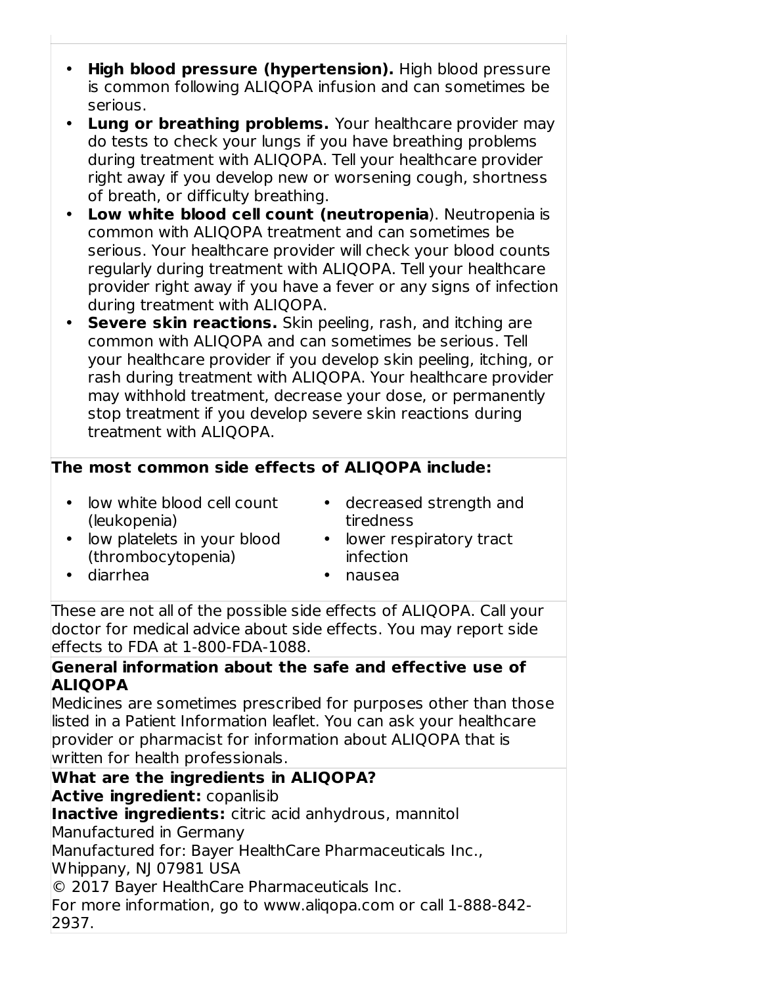- **High blood pressure (hypertension).** High blood pressure is common following ALIQOPA infusion and can sometimes be serious.
- **Lung or breathing problems.** Your healthcare provider may do tests to check your lungs if you have breathing problems during treatment with ALIQOPA. Tell your healthcare provider right away if you develop new or worsening cough, shortness of breath, or difficulty breathing.
- **Low white blood cell count (neutropenia**). Neutropenia is common with ALIQOPA treatment and can sometimes be serious. Your healthcare provider will check your blood counts regularly during treatment with ALIQOPA. Tell your healthcare provider right away if you have a fever or any signs of infection during treatment with ALIQOPA.
- **Severe skin reactions.** Skin peeling, rash, and itching are common with ALIQOPA and can sometimes be serious. Tell your healthcare provider if you develop skin peeling, itching, or rash during treatment with ALIQOPA. Your healthcare provider may withhold treatment, decrease your dose, or permanently stop treatment if you develop severe skin reactions during treatment with ALIQOPA.

## **The most common side effects of ALIQOPA include:**

- low white blood cell count (leukopenia)
- decreased strength and tiredness
- low platelets in your blood (thrombocytopenia)

• diarrhea

- lower respiratory tract infection
- nausea

These are not all of the possible side effects of ALIQOPA. Call your doctor for medical advice about side effects. You may report side effects to FDA at 1-800-FDA-1088.

#### **General information about the safe and effective use of ALIQOPA**

Medicines are sometimes prescribed for purposes other than those listed in a Patient Information leaflet. You can ask your healthcare provider or pharmacist for information about ALIQOPA that is written for health professionals.

# **What are the ingredients in ALIQOPA? Active ingredient:** copanlisib

**Inactive ingredients:** citric acid anhydrous, mannitol

Manufactured in Germany

Manufactured for: Bayer HealthCare Pharmaceuticals Inc.,

Whippany, NJ 07981 USA

© 2017 Bayer HealthCare Pharmaceuticals Inc.

For more information, go to www.aliqopa.com or call 1-888-842- 2937.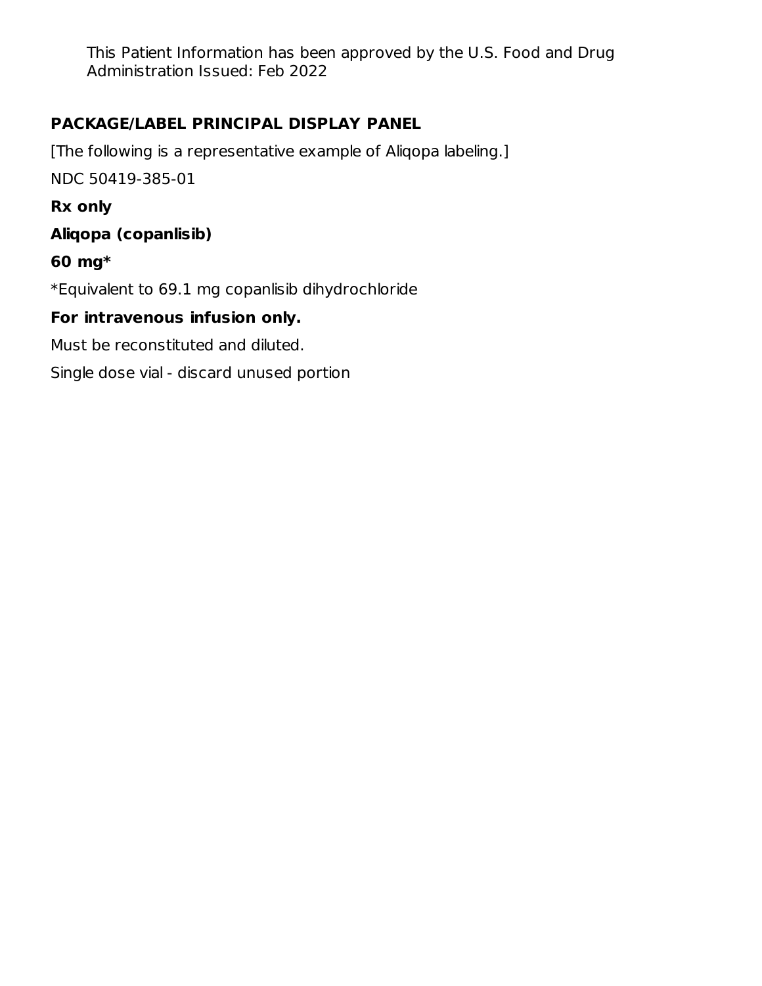This Patient Information has been approved by the U.S. Food and Drug Administration Issued: Feb 2022

## **PACKAGE/LABEL PRINCIPAL DISPLAY PANEL**

[The following is a representative example of Aliqopa labeling.] NDC 50419-385-01

**Rx only**

**Aliqopa (copanlisib)**

## **60 mg\***

\*Equivalent to 69.1 mg copanlisib dihydrochloride

## **For intravenous infusion only.**

Must be reconstituted and diluted.

Single dose vial - discard unused portion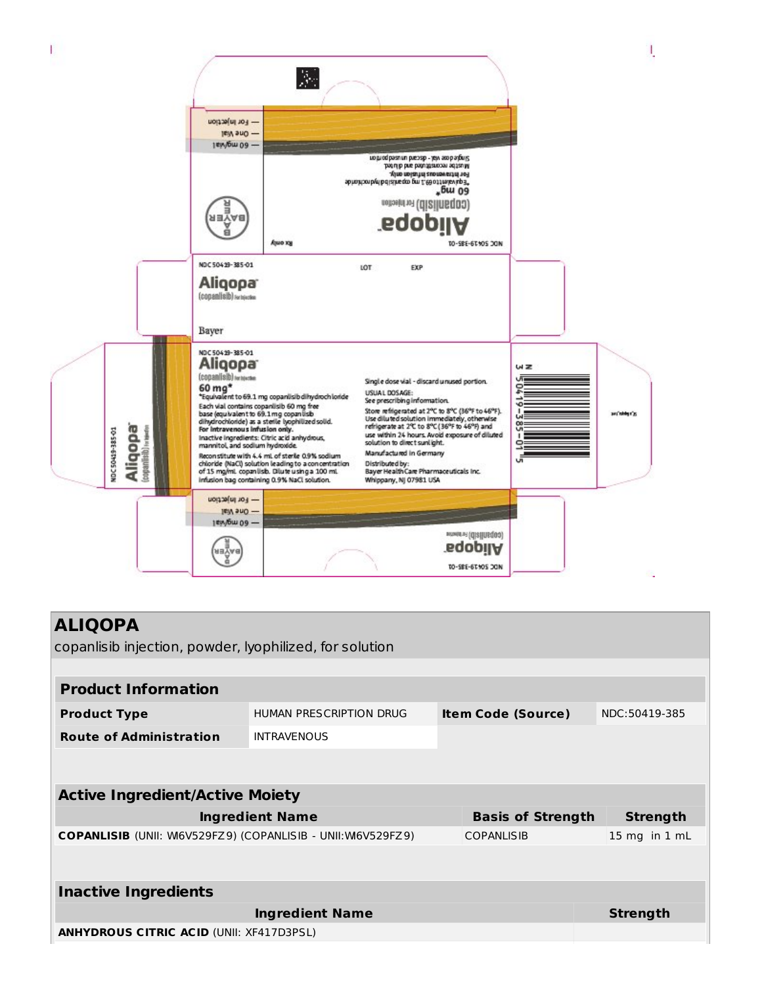

| <b>ALIQOPA</b><br>copanlisib injection, powder, lyophilized, for solution |                         |                           |                   |
|---------------------------------------------------------------------------|-------------------------|---------------------------|-------------------|
|                                                                           |                         |                           |                   |
| <b>Product Information</b>                                                |                         |                           |                   |
| <b>Product Type</b>                                                       | HUMAN PRESCRIPTION DRUG | <b>Item Code (Source)</b> | NDC:50419-385     |
| <b>Route of Administration</b>                                            | <b>INTRAVENOUS</b>      |                           |                   |
|                                                                           |                         |                           |                   |
| <b>Active Ingredient/Active Moiety</b>                                    |                         |                           |                   |
|                                                                           | <b>Ingredient Name</b>  | <b>Basis of Strength</b>  | <b>Strength</b>   |
| <b>COPANLISIB</b> (UNII: W6V529FZ9) (COPANLISIB - UNII:W6V529FZ9)         |                         | <b>COPANLISIB</b>         | $15$ mg in $1$ mL |
|                                                                           |                         |                           |                   |
| <b>Inactive Ingredients</b>                                               |                         |                           |                   |
|                                                                           | <b>Ingredient Name</b>  |                           | <b>Strength</b>   |
| <b>ANHYDROUS CITRIC ACID (UNII: XF417D3PSL)</b>                           |                         |                           |                   |
|                                                                           |                         |                           |                   |
|                                                                           |                         |                           |                   |